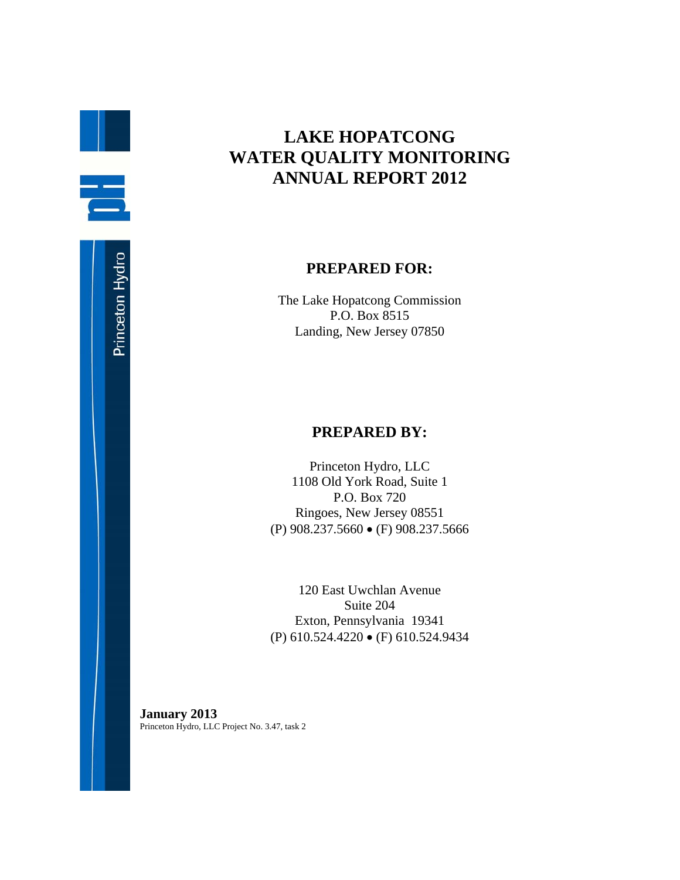## **LAKE HOPATCONG WATER QUALITY MONITORING ANNUAL REPORT 2012**

## **PREPARED FOR:**

The Lake Hopatcong Commission P.O. Box 8515 Landing, New Jersey 07850

## **PREPARED BY:**

Princeton Hydro, LLC 1108 Old York Road, Suite 1 P.O. Box 720 Ringoes, New Jersey 08551 (P) 908.237.5660 (F) 908.237.5666

120 East Uwchlan Avenue Suite 204 Exton, Pennsylvania 19341 (P) 610.524.4220 (F) 610.524.9434

**January 2013**  Princeton Hydro, LLC Project No. 3.47, task 2

B.

ē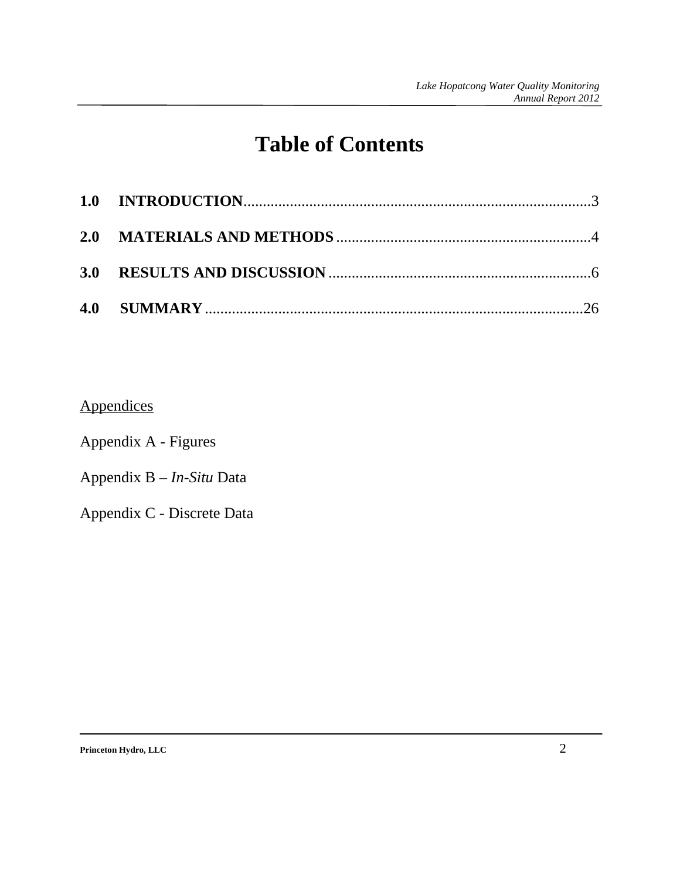## **Table of Contents**

## **Appendices**

Appendix A - Figures

Appendix B – *In-Situ* Data

Appendix C - Discrete Data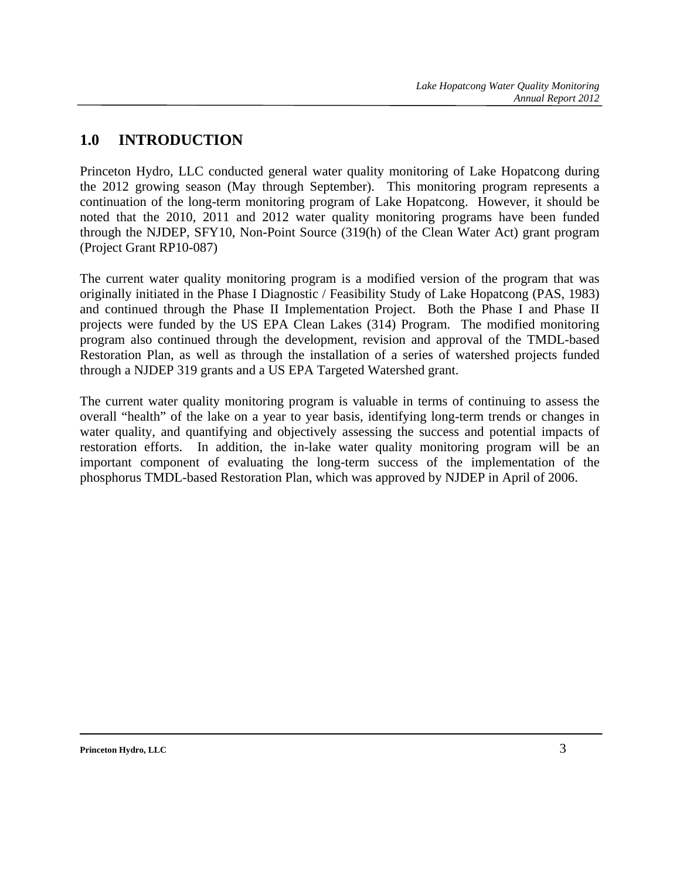## **1.0 INTRODUCTION**

Princeton Hydro, LLC conducted general water quality monitoring of Lake Hopatcong during the 2012 growing season (May through September). This monitoring program represents a continuation of the long-term monitoring program of Lake Hopatcong. However, it should be noted that the 2010, 2011 and 2012 water quality monitoring programs have been funded through the NJDEP, SFY10, Non-Point Source (319(h) of the Clean Water Act) grant program (Project Grant RP10-087)

The current water quality monitoring program is a modified version of the program that was originally initiated in the Phase I Diagnostic / Feasibility Study of Lake Hopatcong (PAS, 1983) and continued through the Phase II Implementation Project. Both the Phase I and Phase II projects were funded by the US EPA Clean Lakes (314) Program. The modified monitoring program also continued through the development, revision and approval of the TMDL-based Restoration Plan, as well as through the installation of a series of watershed projects funded through a NJDEP 319 grants and a US EPA Targeted Watershed grant.

The current water quality monitoring program is valuable in terms of continuing to assess the overall "health" of the lake on a year to year basis, identifying long-term trends or changes in water quality, and quantifying and objectively assessing the success and potential impacts of restoration efforts. In addition, the in-lake water quality monitoring program will be an important component of evaluating the long-term success of the implementation of the phosphorus TMDL-based Restoration Plan, which was approved by NJDEP in April of 2006.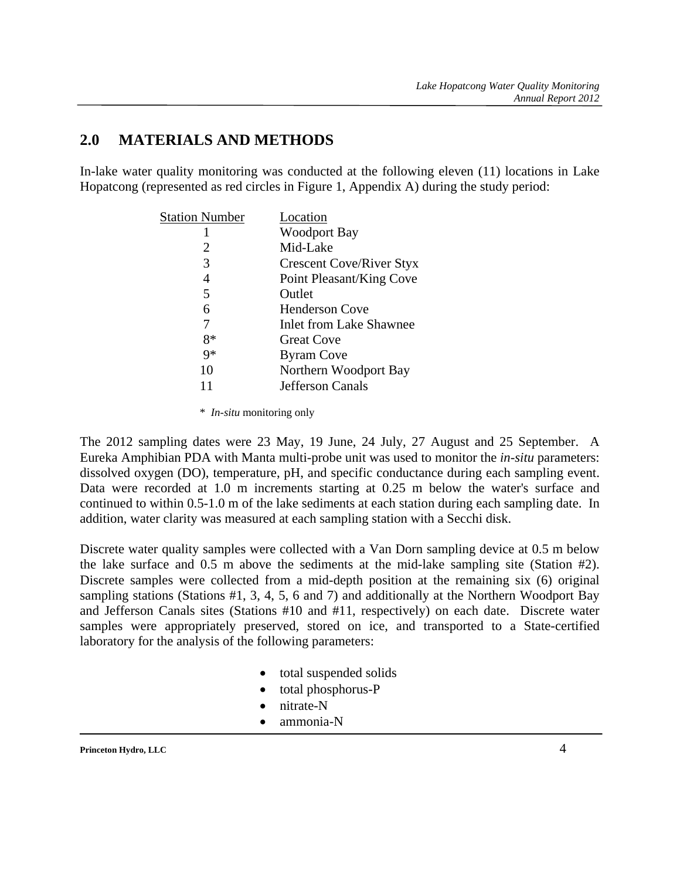## **2.0 MATERIALS AND METHODS**

In-lake water quality monitoring was conducted at the following eleven (11) locations in Lake Hopatcong (represented as red circles in Figure 1, Appendix A) during the study period:

| <b>Station Number</b> | Location                        |
|-----------------------|---------------------------------|
|                       | <b>Woodport Bay</b>             |
| 2                     | Mid-Lake                        |
| 3                     | <b>Crescent Cove/River Styx</b> |
| 4                     | Point Pleasant/King Cove        |
| 5                     | Outlet                          |
| 6                     | <b>Henderson Cove</b>           |
|                       | <b>Inlet from Lake Shawnee</b>  |
| $8*$                  | <b>Great Cove</b>               |
| $9*$                  | <b>Byram Cove</b>               |
| 10                    | Northern Woodport Bay           |
|                       | <b>Jefferson Canals</b>         |

\* *In-situ* monitoring only

The 2012 sampling dates were 23 May, 19 June, 24 July, 27 August and 25 September. A Eureka Amphibian PDA with Manta multi-probe unit was used to monitor the *in-situ* parameters: dissolved oxygen (DO), temperature, pH, and specific conductance during each sampling event. Data were recorded at 1.0 m increments starting at 0.25 m below the water's surface and continued to within 0.5-1.0 m of the lake sediments at each station during each sampling date. In addition, water clarity was measured at each sampling station with a Secchi disk.

Discrete water quality samples were collected with a Van Dorn sampling device at 0.5 m below the lake surface and 0.5 m above the sediments at the mid-lake sampling site (Station #2). Discrete samples were collected from a mid-depth position at the remaining six (6) original sampling stations (Stations #1, 3, 4, 5, 6 and 7) and additionally at the Northern Woodport Bay and Jefferson Canals sites (Stations #10 and #11, respectively) on each date. Discrete water samples were appropriately preserved, stored on ice, and transported to a State-certified laboratory for the analysis of the following parameters:

- total suspended solids
- total phosphorus-P
- nitrate-N
- ammonia-N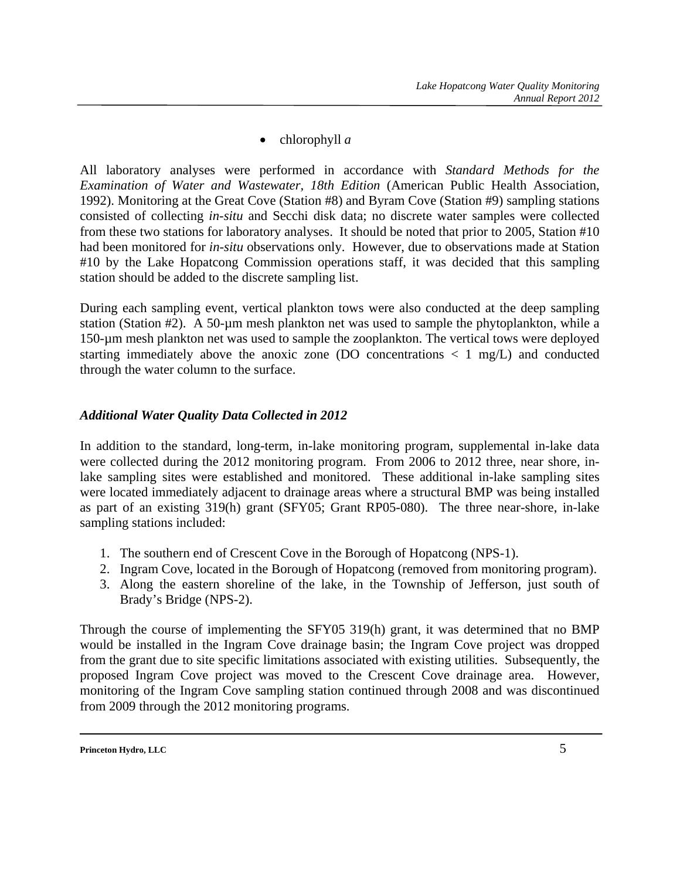• chlorophyll *a* 

All laboratory analyses were performed in accordance with *Standard Methods for the Examination of Water and Wastewater, 18th Edition* (American Public Health Association, 1992). Monitoring at the Great Cove (Station #8) and Byram Cove (Station #9) sampling stations consisted of collecting *in-situ* and Secchi disk data; no discrete water samples were collected from these two stations for laboratory analyses. It should be noted that prior to 2005, Station #10 had been monitored for *in-situ* observations only. However, due to observations made at Station #10 by the Lake Hopatcong Commission operations staff, it was decided that this sampling station should be added to the discrete sampling list.

During each sampling event, vertical plankton tows were also conducted at the deep sampling station (Station #2). A 50-µm mesh plankton net was used to sample the phytoplankton, while a 150-µm mesh plankton net was used to sample the zooplankton. The vertical tows were deployed starting immediately above the anoxic zone (DO concentrations  $\langle 1 \text{ mg/L} \rangle$  and conducted through the water column to the surface.

### *Additional Water Quality Data Collected in 2012*

In addition to the standard, long-term, in-lake monitoring program, supplemental in-lake data were collected during the 2012 monitoring program. From 2006 to 2012 three, near shore, inlake sampling sites were established and monitored. These additional in-lake sampling sites were located immediately adjacent to drainage areas where a structural BMP was being installed as part of an existing 319(h) grant (SFY05; Grant RP05-080). The three near-shore, in-lake sampling stations included:

- 1. The southern end of Crescent Cove in the Borough of Hopatcong (NPS-1).
- 2. Ingram Cove, located in the Borough of Hopatcong (removed from monitoring program).
- 3. Along the eastern shoreline of the lake, in the Township of Jefferson, just south of Brady's Bridge (NPS-2).

Through the course of implementing the SFY05 319(h) grant, it was determined that no BMP would be installed in the Ingram Cove drainage basin; the Ingram Cove project was dropped from the grant due to site specific limitations associated with existing utilities. Subsequently, the proposed Ingram Cove project was moved to the Crescent Cove drainage area. However, monitoring of the Ingram Cove sampling station continued through 2008 and was discontinued from 2009 through the 2012 monitoring programs.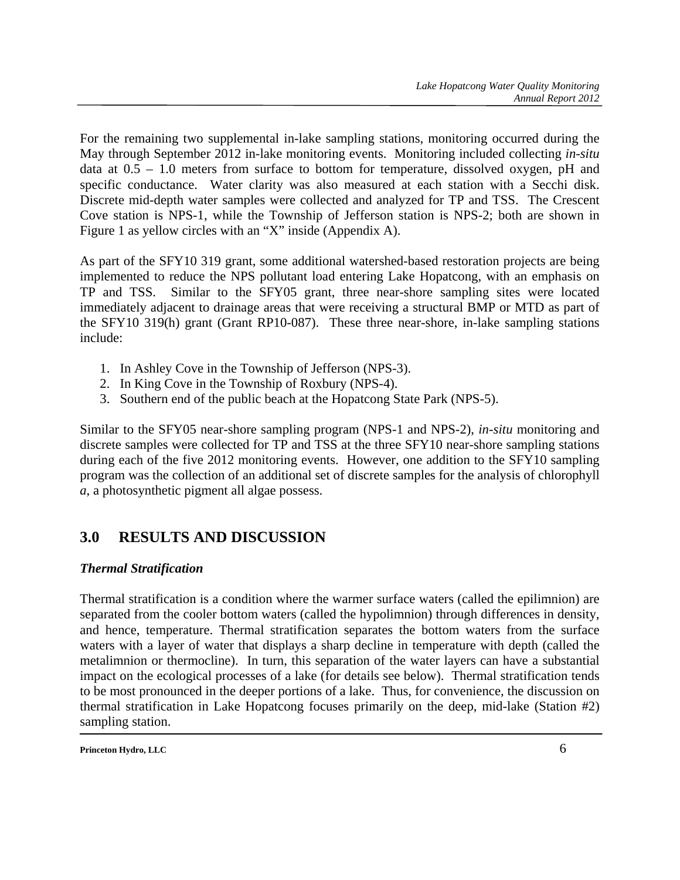For the remaining two supplemental in-lake sampling stations, monitoring occurred during the May through September 2012 in-lake monitoring events. Monitoring included collecting *in-situ* data at 0.5 – 1.0 meters from surface to bottom for temperature, dissolved oxygen, pH and specific conductance. Water clarity was also measured at each station with a Secchi disk. Discrete mid-depth water samples were collected and analyzed for TP and TSS. The Crescent Cove station is NPS-1, while the Township of Jefferson station is NPS-2; both are shown in Figure 1 as yellow circles with an "X" inside (Appendix A).

As part of the SFY10 319 grant, some additional watershed-based restoration projects are being implemented to reduce the NPS pollutant load entering Lake Hopatcong, with an emphasis on TP and TSS. Similar to the SFY05 grant, three near-shore sampling sites were located immediately adjacent to drainage areas that were receiving a structural BMP or MTD as part of the SFY10 319(h) grant (Grant RP10-087). These three near-shore, in-lake sampling stations include:

- 1. In Ashley Cove in the Township of Jefferson (NPS-3).
- 2. In King Cove in the Township of Roxbury (NPS-4).
- 3. Southern end of the public beach at the Hopatcong State Park (NPS-5).

Similar to the SFY05 near-shore sampling program (NPS-1 and NPS-2), *in-situ* monitoring and discrete samples were collected for TP and TSS at the three SFY10 near-shore sampling stations during each of the five 2012 monitoring events. However, one addition to the SFY10 sampling program was the collection of an additional set of discrete samples for the analysis of chlorophyll *a*, a photosynthetic pigment all algae possess.

## **3.0 RESULTS AND DISCUSSION**

## *Thermal Stratification*

Thermal stratification is a condition where the warmer surface waters (called the epilimnion) are separated from the cooler bottom waters (called the hypolimnion) through differences in density, and hence, temperature. Thermal stratification separates the bottom waters from the surface waters with a layer of water that displays a sharp decline in temperature with depth (called the metalimnion or thermocline). In turn, this separation of the water layers can have a substantial impact on the ecological processes of a lake (for details see below). Thermal stratification tends to be most pronounced in the deeper portions of a lake. Thus, for convenience, the discussion on thermal stratification in Lake Hopatcong focuses primarily on the deep, mid-lake (Station #2) sampling station.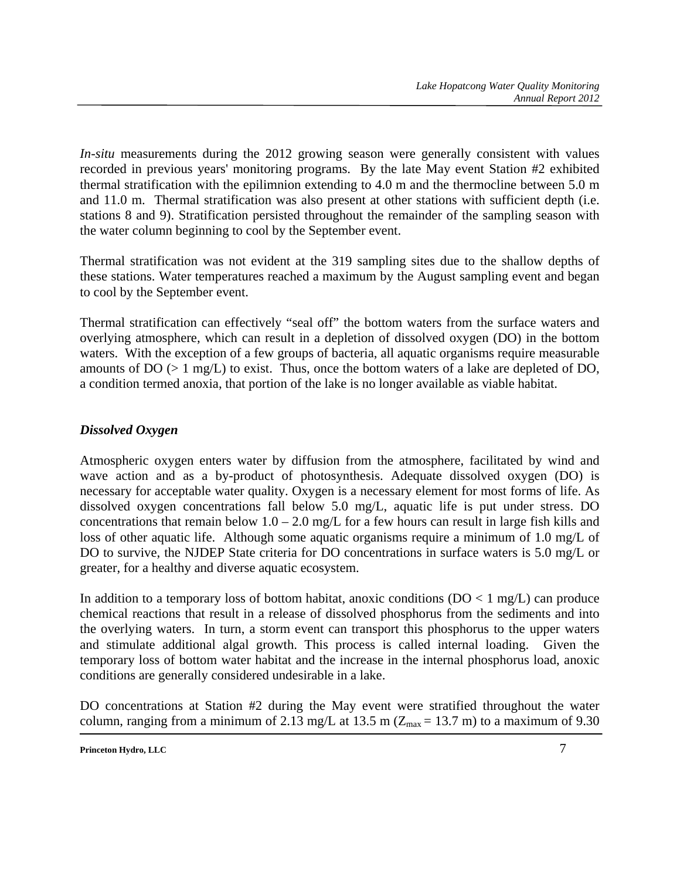*In-situ* measurements during the 2012 growing season were generally consistent with values recorded in previous years' monitoring programs. By the late May event Station #2 exhibited thermal stratification with the epilimnion extending to 4.0 m and the thermocline between 5.0 m and 11.0 m. Thermal stratification was also present at other stations with sufficient depth (i.e. stations 8 and 9). Stratification persisted throughout the remainder of the sampling season with the water column beginning to cool by the September event.

Thermal stratification was not evident at the 319 sampling sites due to the shallow depths of these stations. Water temperatures reached a maximum by the August sampling event and began to cool by the September event.

Thermal stratification can effectively "seal off" the bottom waters from the surface waters and overlying atmosphere, which can result in a depletion of dissolved oxygen (DO) in the bottom waters. With the exception of a few groups of bacteria, all aquatic organisms require measurable amounts of  $DO \left( > 1 \text{ mg/L} \right)$  to exist. Thus, once the bottom waters of a lake are depleted of  $DO$ , a condition termed anoxia, that portion of the lake is no longer available as viable habitat.

## *Dissolved Oxygen*

Atmospheric oxygen enters water by diffusion from the atmosphere, facilitated by wind and wave action and as a by-product of photosynthesis. Adequate dissolved oxygen (DO) is necessary for acceptable water quality. Oxygen is a necessary element for most forms of life. As dissolved oxygen concentrations fall below 5.0 mg/L, aquatic life is put under stress. DO concentrations that remain below  $1.0 - 2.0$  mg/L for a few hours can result in large fish kills and loss of other aquatic life. Although some aquatic organisms require a minimum of 1.0 mg/L of DO to survive, the NJDEP State criteria for DO concentrations in surface waters is 5.0 mg/L or greater, for a healthy and diverse aquatic ecosystem.

In addition to a temporary loss of bottom habitat, anoxic conditions  $(DO < 1 mg/L)$  can produce chemical reactions that result in a release of dissolved phosphorus from the sediments and into the overlying waters. In turn, a storm event can transport this phosphorus to the upper waters and stimulate additional algal growth. This process is called internal loading. Given the temporary loss of bottom water habitat and the increase in the internal phosphorus load, anoxic conditions are generally considered undesirable in a lake.

DO concentrations at Station #2 during the May event were stratified throughout the water column, ranging from a minimum of 2.13 mg/L at 13.5 m ( $Z_{\text{max}} = 13.7$  m) to a maximum of 9.30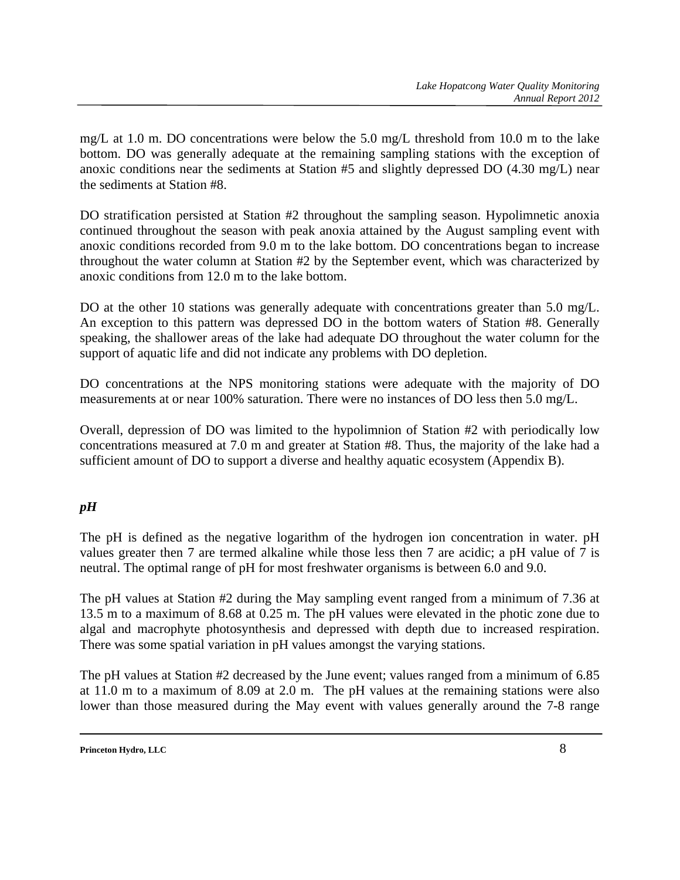mg/L at 1.0 m. DO concentrations were below the 5.0 mg/L threshold from 10.0 m to the lake bottom. DO was generally adequate at the remaining sampling stations with the exception of anoxic conditions near the sediments at Station #5 and slightly depressed DO (4.30 mg/L) near the sediments at Station #8.

DO stratification persisted at Station #2 throughout the sampling season. Hypolimnetic anoxia continued throughout the season with peak anoxia attained by the August sampling event with anoxic conditions recorded from 9.0 m to the lake bottom. DO concentrations began to increase throughout the water column at Station #2 by the September event, which was characterized by anoxic conditions from 12.0 m to the lake bottom.

DO at the other 10 stations was generally adequate with concentrations greater than 5.0 mg/L. An exception to this pattern was depressed DO in the bottom waters of Station #8. Generally speaking, the shallower areas of the lake had adequate DO throughout the water column for the support of aquatic life and did not indicate any problems with DO depletion.

DO concentrations at the NPS monitoring stations were adequate with the majority of DO measurements at or near 100% saturation. There were no instances of DO less then 5.0 mg/L.

Overall, depression of DO was limited to the hypolimnion of Station #2 with periodically low concentrations measured at 7.0 m and greater at Station #8. Thus, the majority of the lake had a sufficient amount of DO to support a diverse and healthy aquatic ecosystem (Appendix B).

## *pH*

The pH is defined as the negative logarithm of the hydrogen ion concentration in water. pH values greater then 7 are termed alkaline while those less then 7 are acidic; a pH value of 7 is neutral. The optimal range of pH for most freshwater organisms is between 6.0 and 9.0.

The pH values at Station #2 during the May sampling event ranged from a minimum of 7.36 at 13.5 m to a maximum of 8.68 at 0.25 m. The pH values were elevated in the photic zone due to algal and macrophyte photosynthesis and depressed with depth due to increased respiration. There was some spatial variation in pH values amongst the varying stations.

The pH values at Station #2 decreased by the June event; values ranged from a minimum of 6.85 at 11.0 m to a maximum of 8.09 at 2.0 m. The pH values at the remaining stations were also lower than those measured during the May event with values generally around the 7-8 range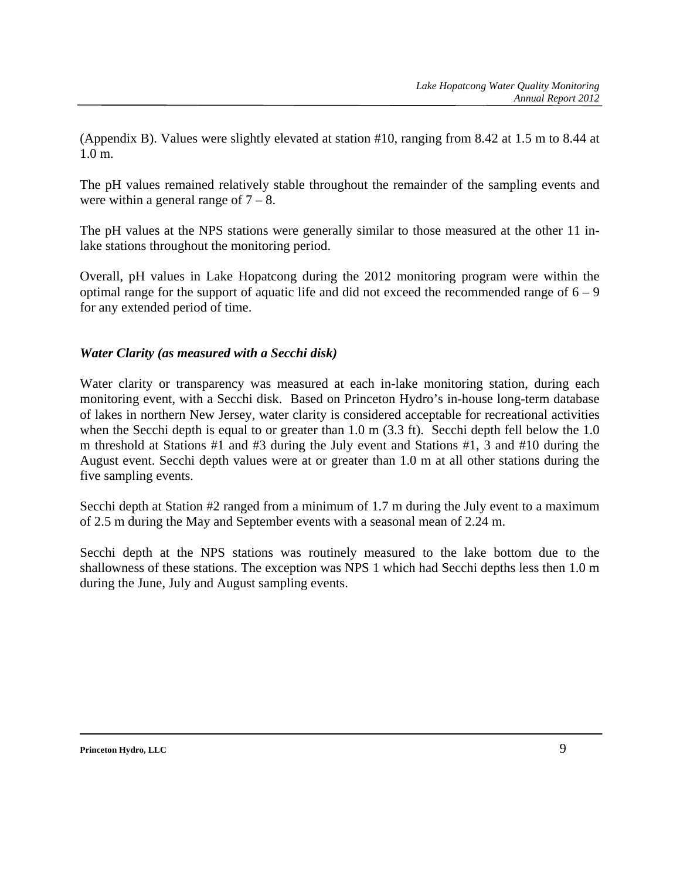(Appendix B). Values were slightly elevated at station #10, ranging from 8.42 at 1.5 m to 8.44 at 1.0 m.

The pH values remained relatively stable throughout the remainder of the sampling events and were within a general range of  $7 - 8$ .

The pH values at the NPS stations were generally similar to those measured at the other 11 inlake stations throughout the monitoring period.

Overall, pH values in Lake Hopatcong during the 2012 monitoring program were within the optimal range for the support of aquatic life and did not exceed the recommended range of  $6 - 9$ for any extended period of time.

### *Water Clarity (as measured with a Secchi disk)*

Water clarity or transparency was measured at each in-lake monitoring station, during each monitoring event, with a Secchi disk. Based on Princeton Hydro's in-house long-term database of lakes in northern New Jersey, water clarity is considered acceptable for recreational activities when the Secchi depth is equal to or greater than 1.0 m (3.3 ft). Secchi depth fell below the 1.0 m threshold at Stations #1 and #3 during the July event and Stations #1, 3 and #10 during the August event. Secchi depth values were at or greater than 1.0 m at all other stations during the five sampling events.

Secchi depth at Station #2 ranged from a minimum of 1.7 m during the July event to a maximum of 2.5 m during the May and September events with a seasonal mean of 2.24 m.

Secchi depth at the NPS stations was routinely measured to the lake bottom due to the shallowness of these stations. The exception was NPS 1 which had Secchi depths less then 1.0 m during the June, July and August sampling events.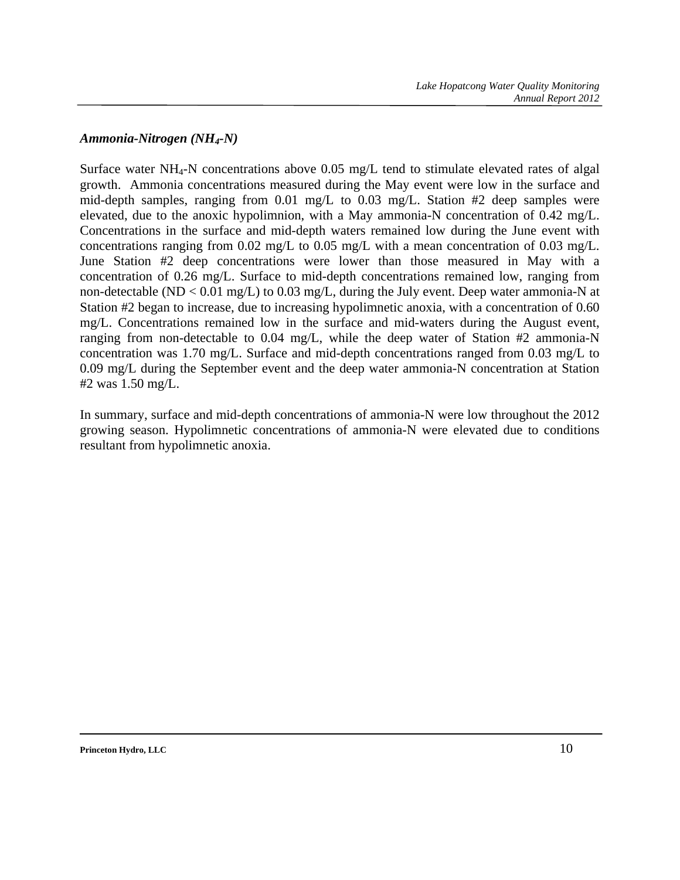#### *Ammonia-Nitrogen (NH4-N)*

Surface water NH4-N concentrations above 0.05 mg/L tend to stimulate elevated rates of algal growth. Ammonia concentrations measured during the May event were low in the surface and mid-depth samples, ranging from 0.01 mg/L to 0.03 mg/L. Station #2 deep samples were elevated, due to the anoxic hypolimnion, with a May ammonia-N concentration of 0.42 mg/L. Concentrations in the surface and mid-depth waters remained low during the June event with concentrations ranging from 0.02 mg/L to 0.05 mg/L with a mean concentration of 0.03 mg/L. June Station #2 deep concentrations were lower than those measured in May with a concentration of 0.26 mg/L. Surface to mid-depth concentrations remained low, ranging from non-detectable (ND < 0.01 mg/L) to 0.03 mg/L, during the July event. Deep water ammonia-N at Station #2 began to increase, due to increasing hypolimnetic anoxia, with a concentration of 0.60 mg/L. Concentrations remained low in the surface and mid-waters during the August event, ranging from non-detectable to 0.04 mg/L, while the deep water of Station #2 ammonia-N concentration was 1.70 mg/L. Surface and mid-depth concentrations ranged from 0.03 mg/L to 0.09 mg/L during the September event and the deep water ammonia-N concentration at Station #2 was 1.50 mg/L.

In summary, surface and mid-depth concentrations of ammonia-N were low throughout the 2012 growing season. Hypolimnetic concentrations of ammonia-N were elevated due to conditions resultant from hypolimnetic anoxia.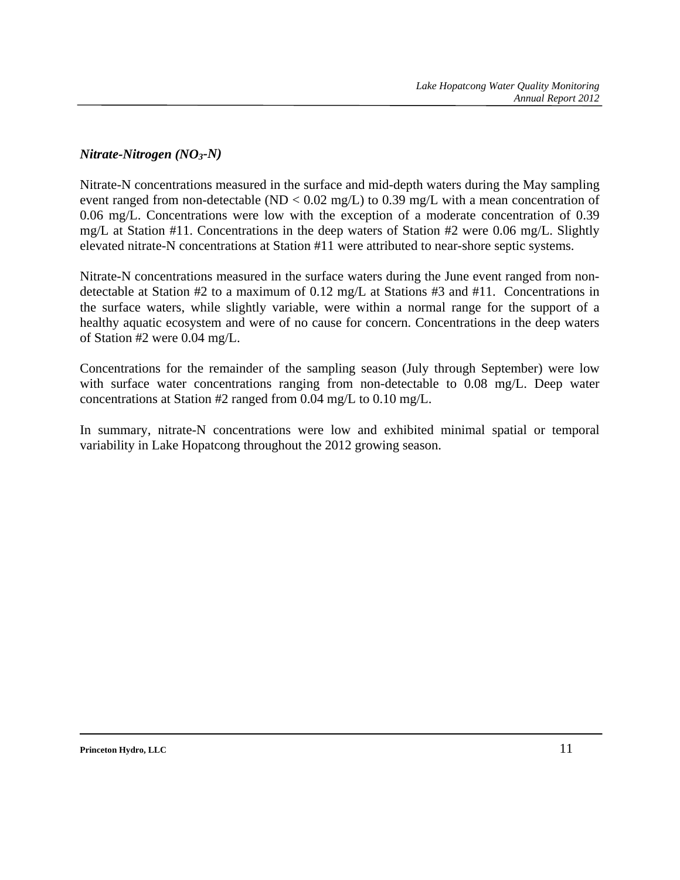## *Nitrate-Nitrogen (NO3-N)*

Nitrate-N concentrations measured in the surface and mid-depth waters during the May sampling event ranged from non-detectable (ND <  $0.02 \text{ mg/L}$ ) to 0.39 mg/L with a mean concentration of 0.06 mg/L. Concentrations were low with the exception of a moderate concentration of 0.39 mg/L at Station #11. Concentrations in the deep waters of Station #2 were 0.06 mg/L. Slightly elevated nitrate-N concentrations at Station #11 were attributed to near-shore septic systems.

Nitrate-N concentrations measured in the surface waters during the June event ranged from nondetectable at Station #2 to a maximum of 0.12 mg/L at Stations #3 and #11. Concentrations in the surface waters, while slightly variable, were within a normal range for the support of a healthy aquatic ecosystem and were of no cause for concern. Concentrations in the deep waters of Station #2 were 0.04 mg/L.

Concentrations for the remainder of the sampling season (July through September) were low with surface water concentrations ranging from non-detectable to 0.08 mg/L. Deep water concentrations at Station #2 ranged from 0.04 mg/L to 0.10 mg/L.

In summary, nitrate-N concentrations were low and exhibited minimal spatial or temporal variability in Lake Hopatcong throughout the 2012 growing season.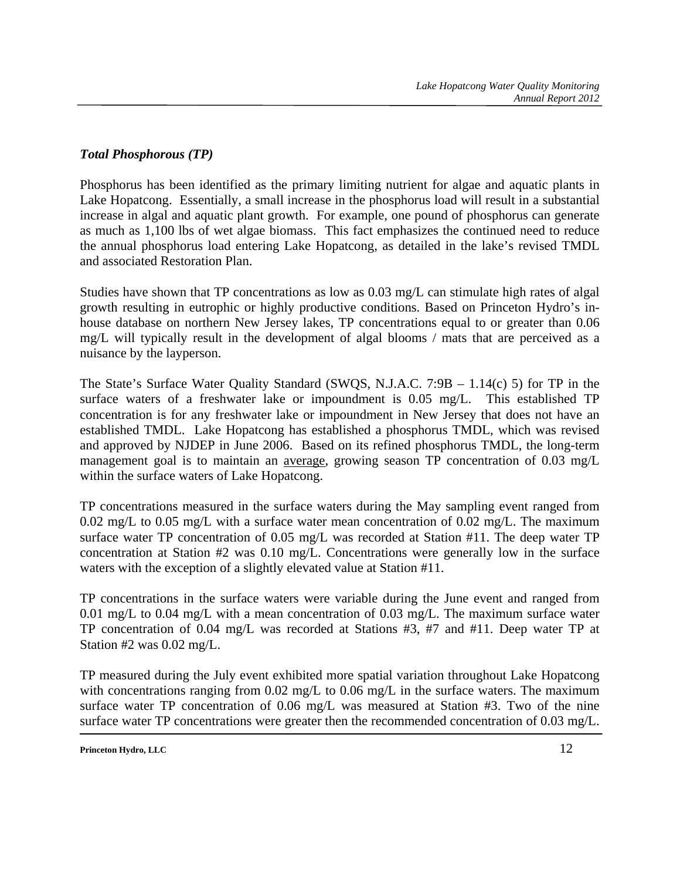### *Total Phosphorous (TP)*

Phosphorus has been identified as the primary limiting nutrient for algae and aquatic plants in Lake Hopatcong. Essentially, a small increase in the phosphorus load will result in a substantial increase in algal and aquatic plant growth. For example, one pound of phosphorus can generate as much as 1,100 lbs of wet algae biomass. This fact emphasizes the continued need to reduce the annual phosphorus load entering Lake Hopatcong, as detailed in the lake's revised TMDL and associated Restoration Plan.

Studies have shown that TP concentrations as low as 0.03 mg/L can stimulate high rates of algal growth resulting in eutrophic or highly productive conditions. Based on Princeton Hydro's inhouse database on northern New Jersey lakes, TP concentrations equal to or greater than 0.06 mg/L will typically result in the development of algal blooms / mats that are perceived as a nuisance by the layperson.

The State's Surface Water Quality Standard (SWQS, N.J.A.C. 7:9B – 1.14(c) 5) for TP in the surface waters of a freshwater lake or impoundment is 0.05 mg/L. This established TP concentration is for any freshwater lake or impoundment in New Jersey that does not have an established TMDL. Lake Hopatcong has established a phosphorus TMDL, which was revised and approved by NJDEP in June 2006. Based on its refined phosphorus TMDL, the long-term management goal is to maintain an average, growing season TP concentration of 0.03 mg/L within the surface waters of Lake Hopatcong.

TP concentrations measured in the surface waters during the May sampling event ranged from 0.02 mg/L to 0.05 mg/L with a surface water mean concentration of 0.02 mg/L. The maximum surface water TP concentration of 0.05 mg/L was recorded at Station #11. The deep water TP concentration at Station #2 was 0.10 mg/L. Concentrations were generally low in the surface waters with the exception of a slightly elevated value at Station #11.

TP concentrations in the surface waters were variable during the June event and ranged from 0.01 mg/L to 0.04 mg/L with a mean concentration of 0.03 mg/L. The maximum surface water TP concentration of 0.04 mg/L was recorded at Stations #3, #7 and #11. Deep water TP at Station #2 was 0.02 mg/L.

TP measured during the July event exhibited more spatial variation throughout Lake Hopatcong with concentrations ranging from 0.02 mg/L to 0.06 mg/L in the surface waters. The maximum surface water TP concentration of 0.06 mg/L was measured at Station #3. Two of the nine surface water TP concentrations were greater then the recommended concentration of 0.03 mg/L.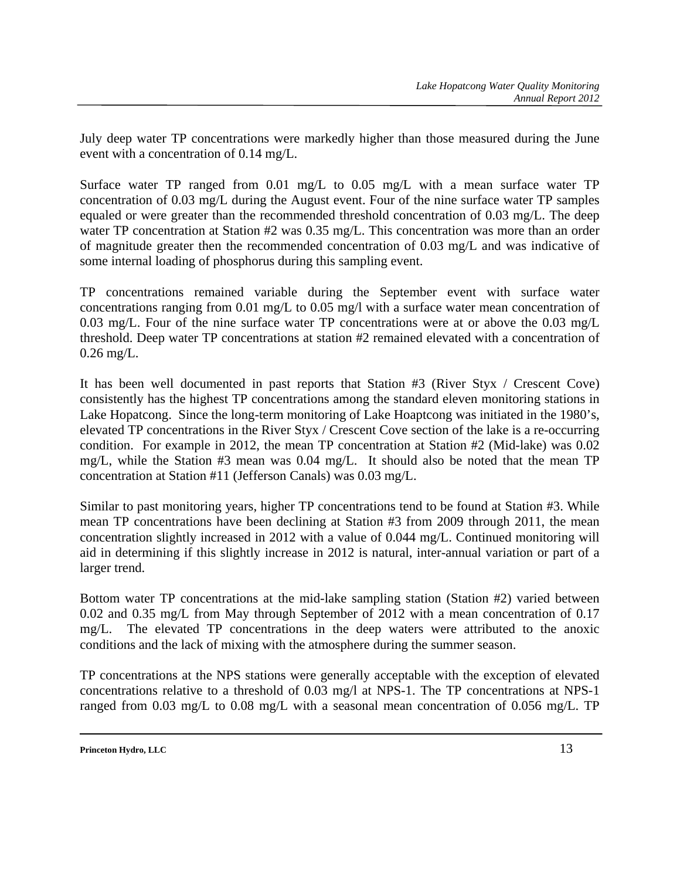July deep water TP concentrations were markedly higher than those measured during the June event with a concentration of 0.14 mg/L.

Surface water TP ranged from 0.01 mg/L to 0.05 mg/L with a mean surface water TP concentration of 0.03 mg/L during the August event. Four of the nine surface water TP samples equaled or were greater than the recommended threshold concentration of 0.03 mg/L. The deep water TP concentration at Station #2 was 0.35 mg/L. This concentration was more than an order of magnitude greater then the recommended concentration of 0.03 mg/L and was indicative of some internal loading of phosphorus during this sampling event.

TP concentrations remained variable during the September event with surface water concentrations ranging from 0.01 mg/L to 0.05 mg/l with a surface water mean concentration of 0.03 mg/L. Four of the nine surface water TP concentrations were at or above the 0.03 mg/L threshold. Deep water TP concentrations at station #2 remained elevated with a concentration of 0.26 mg/L.

It has been well documented in past reports that Station #3 (River Styx / Crescent Cove) consistently has the highest TP concentrations among the standard eleven monitoring stations in Lake Hopatcong. Since the long-term monitoring of Lake Hoaptcong was initiated in the 1980's, elevated TP concentrations in the River Styx / Crescent Cove section of the lake is a re-occurring condition. For example in 2012, the mean TP concentration at Station #2 (Mid-lake) was 0.02 mg/L, while the Station #3 mean was 0.04 mg/L. It should also be noted that the mean TP concentration at Station #11 (Jefferson Canals) was 0.03 mg/L.

Similar to past monitoring years, higher TP concentrations tend to be found at Station #3. While mean TP concentrations have been declining at Station #3 from 2009 through 2011, the mean concentration slightly increased in 2012 with a value of 0.044 mg/L. Continued monitoring will aid in determining if this slightly increase in 2012 is natural, inter-annual variation or part of a larger trend.

Bottom water TP concentrations at the mid-lake sampling station (Station #2) varied between 0.02 and 0.35 mg/L from May through September of 2012 with a mean concentration of 0.17 mg/L. The elevated TP concentrations in the deep waters were attributed to the anoxic conditions and the lack of mixing with the atmosphere during the summer season.

TP concentrations at the NPS stations were generally acceptable with the exception of elevated concentrations relative to a threshold of 0.03 mg/l at NPS-1. The TP concentrations at NPS-1 ranged from 0.03 mg/L to 0.08 mg/L with a seasonal mean concentration of 0.056 mg/L. TP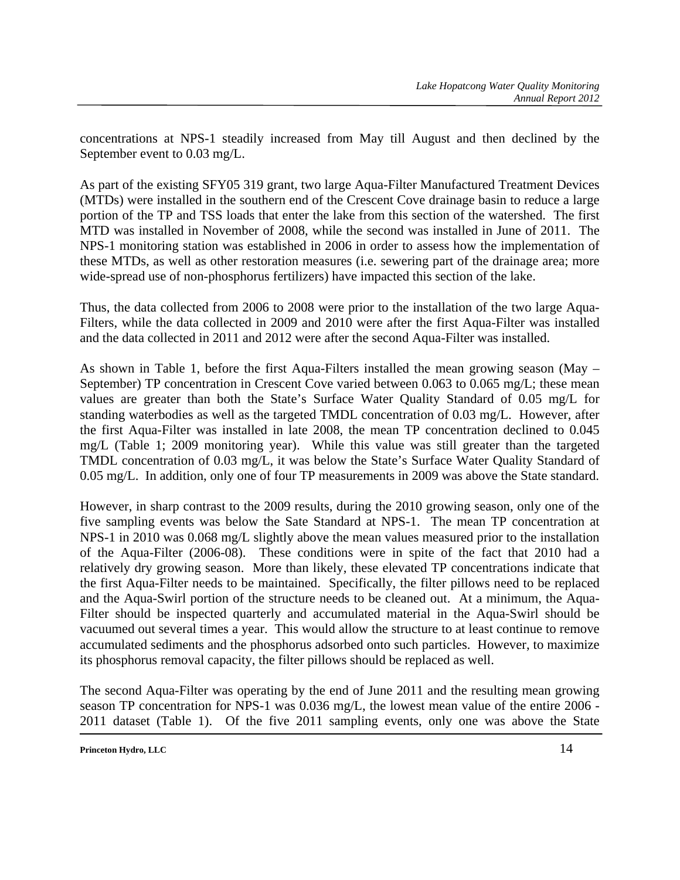concentrations at NPS-1 steadily increased from May till August and then declined by the September event to 0.03 mg/L.

As part of the existing SFY05 319 grant, two large Aqua-Filter Manufactured Treatment Devices (MTDs) were installed in the southern end of the Crescent Cove drainage basin to reduce a large portion of the TP and TSS loads that enter the lake from this section of the watershed. The first MTD was installed in November of 2008, while the second was installed in June of 2011. The NPS-1 monitoring station was established in 2006 in order to assess how the implementation of these MTDs, as well as other restoration measures (i.e. sewering part of the drainage area; more wide-spread use of non-phosphorus fertilizers) have impacted this section of the lake.

Thus, the data collected from 2006 to 2008 were prior to the installation of the two large Aqua-Filters, while the data collected in 2009 and 2010 were after the first Aqua-Filter was installed and the data collected in 2011 and 2012 were after the second Aqua-Filter was installed.

As shown in Table 1, before the first Aqua-Filters installed the mean growing season (May – September) TP concentration in Crescent Cove varied between 0.063 to 0.065 mg/L; these mean values are greater than both the State's Surface Water Quality Standard of 0.05 mg/L for standing waterbodies as well as the targeted TMDL concentration of 0.03 mg/L. However, after the first Aqua-Filter was installed in late 2008, the mean TP concentration declined to 0.045 mg/L (Table 1; 2009 monitoring year). While this value was still greater than the targeted TMDL concentration of 0.03 mg/L, it was below the State's Surface Water Quality Standard of 0.05 mg/L. In addition, only one of four TP measurements in 2009 was above the State standard.

However, in sharp contrast to the 2009 results, during the 2010 growing season, only one of the five sampling events was below the Sate Standard at NPS-1. The mean TP concentration at NPS-1 in 2010 was 0.068 mg/L slightly above the mean values measured prior to the installation of the Aqua-Filter (2006-08). These conditions were in spite of the fact that 2010 had a relatively dry growing season. More than likely, these elevated TP concentrations indicate that the first Aqua-Filter needs to be maintained. Specifically, the filter pillows need to be replaced and the Aqua-Swirl portion of the structure needs to be cleaned out. At a minimum, the Aqua-Filter should be inspected quarterly and accumulated material in the Aqua-Swirl should be vacuumed out several times a year. This would allow the structure to at least continue to remove accumulated sediments and the phosphorus adsorbed onto such particles. However, to maximize its phosphorus removal capacity, the filter pillows should be replaced as well.

The second Aqua-Filter was operating by the end of June 2011 and the resulting mean growing season TP concentration for NPS-1 was 0.036 mg/L, the lowest mean value of the entire 2006 - 2011 dataset (Table 1). Of the five 2011 sampling events, only one was above the State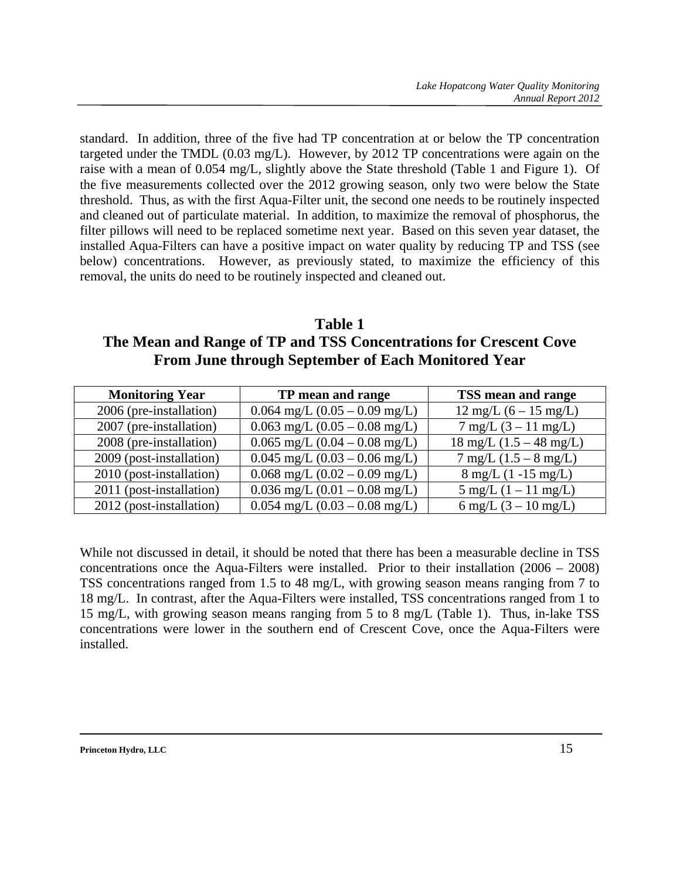standard. In addition, three of the five had TP concentration at or below the TP concentration targeted under the TMDL (0.03 mg/L). However, by 2012 TP concentrations were again on the raise with a mean of 0.054 mg/L, slightly above the State threshold (Table 1 and Figure 1). Of the five measurements collected over the 2012 growing season, only two were below the State threshold. Thus, as with the first Aqua-Filter unit, the second one needs to be routinely inspected and cleaned out of particulate material. In addition, to maximize the removal of phosphorus, the filter pillows will need to be replaced sometime next year. Based on this seven year dataset, the installed Aqua-Filters can have a positive impact on water quality by reducing TP and TSS (see below) concentrations. However, as previously stated, to maximize the efficiency of this removal, the units do need to be routinely inspected and cleaned out.

**Table 1 The Mean and Range of TP and TSS Concentrations for Crescent Cove From June through September of Each Monitored Year** 

| <b>Monitoring Year</b>   | TP mean and range                 | TSS mean and range                          |
|--------------------------|-----------------------------------|---------------------------------------------|
| 2006 (pre-installation)  | $0.064$ mg/L $(0.05 - 0.09$ mg/L) | $12 \text{ mg/L} (6 - 15 \text{ mg/L})$     |
| 2007 (pre-installation)  | $0.063$ mg/L $(0.05 - 0.08$ mg/L) | $7 \text{ mg/L} (3 - 11 \text{ mg/L})$      |
| 2008 (pre-installation)  | $0.065$ mg/L $(0.04 - 0.08$ mg/L) | $18 \text{ mg/L}$ $(1.5 - 48 \text{ mg/L})$ |
| 2009 (post-installation) | $0.045$ mg/L $(0.03 - 0.06$ mg/L) | $7 \text{ mg/L}$ (1.5 – 8 mg/L)             |
| 2010 (post-installation) | $0.068$ mg/L $(0.02 - 0.09$ mg/L) | $8 \text{ mg/L}$ (1 -15 mg/L)               |
| 2011 (post-installation) | $0.036$ mg/L $(0.01 - 0.08$ mg/L) | $5 \text{ mg/L} (1 - 11 \text{ mg/L})$      |
| 2012 (post-installation) | $0.054$ mg/L $(0.03 - 0.08$ mg/L) | 6 mg/L $(3 - 10 \text{ mg/L})$              |

While not discussed in detail, it should be noted that there has been a measurable decline in TSS concentrations once the Aqua-Filters were installed. Prior to their installation (2006 – 2008) TSS concentrations ranged from 1.5 to 48 mg/L, with growing season means ranging from 7 to 18 mg/L. In contrast, after the Aqua-Filters were installed, TSS concentrations ranged from 1 to 15 mg/L, with growing season means ranging from 5 to 8 mg/L (Table 1). Thus, in-lake TSS concentrations were lower in the southern end of Crescent Cove, once the Aqua-Filters were installed.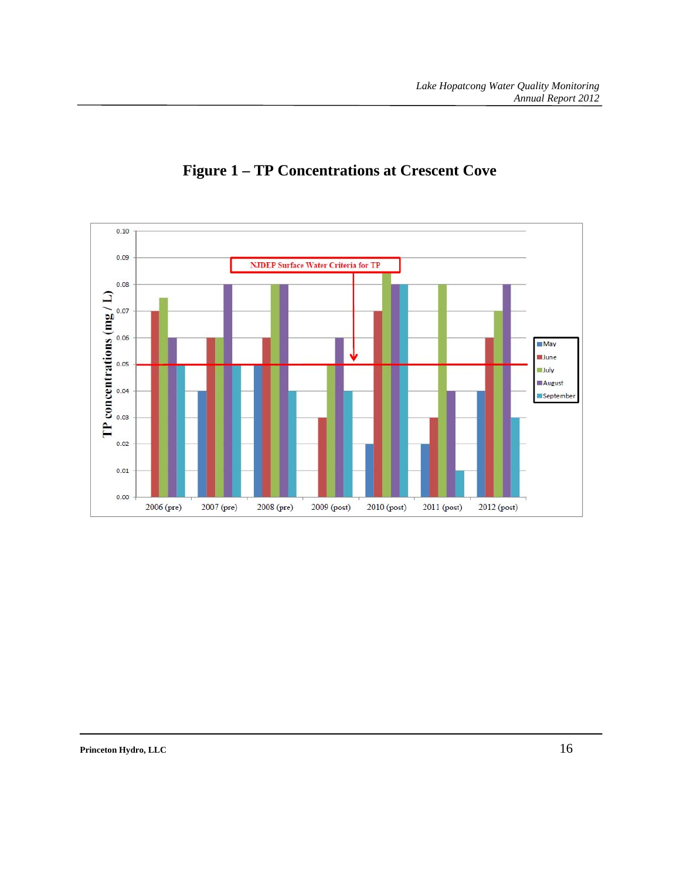

## **Figure 1 – TP Concentrations at Crescent Cove**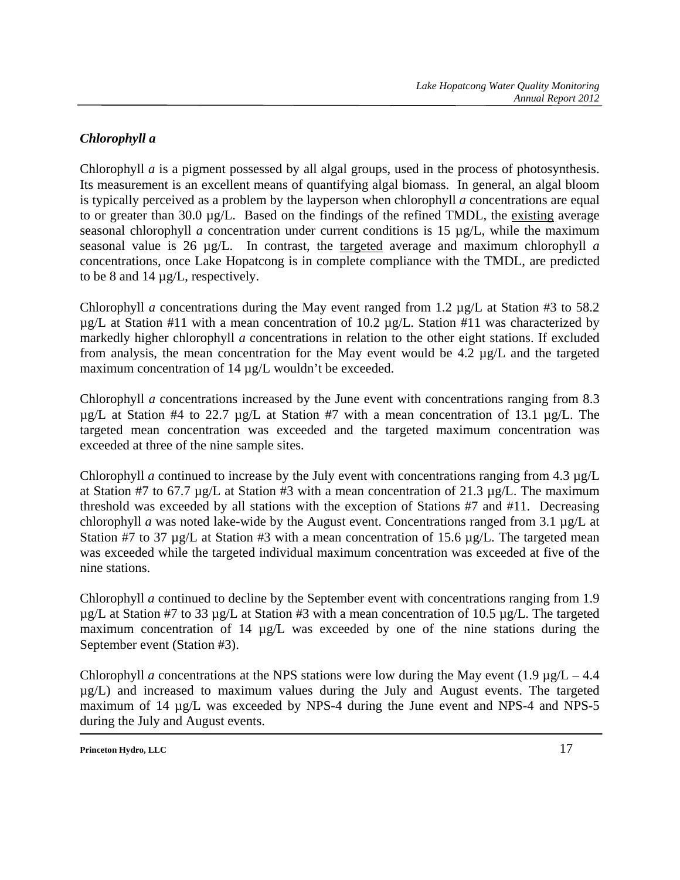## *Chlorophyll a*

Chlorophyll *a* is a pigment possessed by all algal groups, used in the process of photosynthesis. Its measurement is an excellent means of quantifying algal biomass. In general, an algal bloom is typically perceived as a problem by the layperson when chlorophyll *a* concentrations are equal to or greater than 30.0 µg/L. Based on the findings of the refined TMDL, the existing average seasonal chlorophyll *a* concentration under current conditions is 15 µg/L, while the maximum seasonal value is 26 µg/L. In contrast, the targeted average and maximum chlorophyll *a* concentrations, once Lake Hopatcong is in complete compliance with the TMDL, are predicted to be 8 and 14 µg/L, respectively.

Chlorophyll *a* concentrations during the May event ranged from 1.2 µg/L at Station #3 to 58.2  $\mu$ g/L at Station #11 with a mean concentration of 10.2  $\mu$ g/L. Station #11 was characterized by markedly higher chlorophyll *a* concentrations in relation to the other eight stations. If excluded from analysis, the mean concentration for the May event would be 4.2 µg/L and the targeted maximum concentration of 14  $\mu$ g/L wouldn't be exceeded.

Chlorophyll *a* concentrations increased by the June event with concentrations ranging from 8.3  $\mu$ g/L at Station #4 to 22.7  $\mu$ g/L at Station #7 with a mean concentration of 13.1  $\mu$ g/L. The targeted mean concentration was exceeded and the targeted maximum concentration was exceeded at three of the nine sample sites.

Chlorophyll *a* continued to increase by the July event with concentrations ranging from 4.3 µg/L at Station #7 to 67.7  $\mu$ g/L at Station #3 with a mean concentration of 21.3  $\mu$ g/L. The maximum threshold was exceeded by all stations with the exception of Stations #7 and #11. Decreasing chlorophyll *a* was noted lake-wide by the August event. Concentrations ranged from 3.1 µg/L at Station #7 to 37  $\mu$ g/L at Station #3 with a mean concentration of 15.6  $\mu$ g/L. The targeted mean was exceeded while the targeted individual maximum concentration was exceeded at five of the nine stations.

Chlorophyll *a* continued to decline by the September event with concentrations ranging from 1.9  $\mu$ g/L at Station #7 to 33  $\mu$ g/L at Station #3 with a mean concentration of 10.5  $\mu$ g/L. The targeted maximum concentration of 14  $\mu$ g/L was exceeded by one of the nine stations during the September event (Station #3).

Chlorophyll *a* concentrations at the NPS stations were low during the May event  $(1.9 \text{ kg/L} - 4.4 \text{ m})$ µg/L) and increased to maximum values during the July and August events. The targeted maximum of 14  $\mu$ g/L was exceeded by NPS-4 during the June event and NPS-4 and NPS-5 during the July and August events.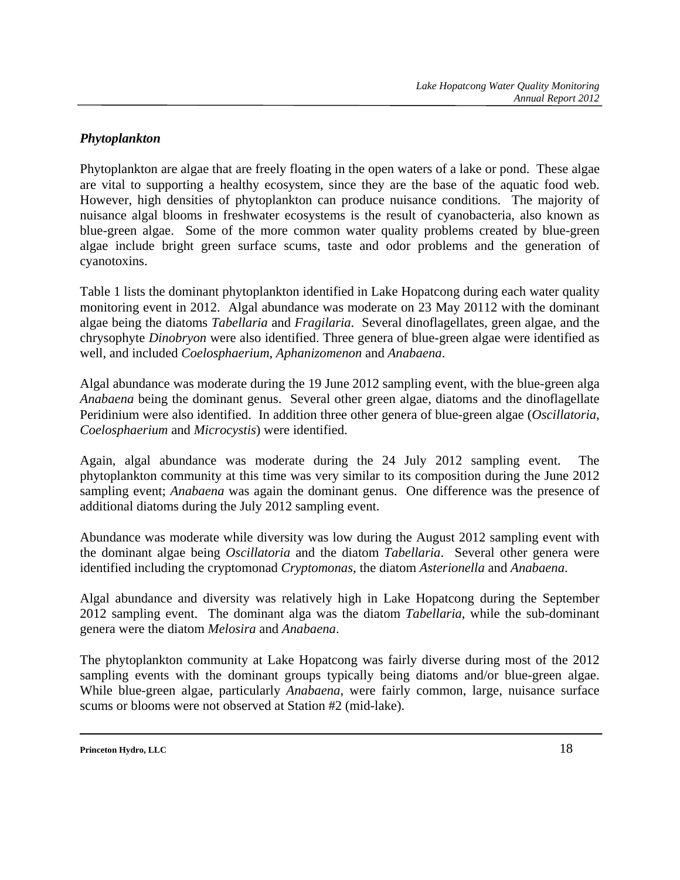### *Phytoplankton*

Phytoplankton are algae that are freely floating in the open waters of a lake or pond. These algae are vital to supporting a healthy ecosystem, since they are the base of the aquatic food web. However, high densities of phytoplankton can produce nuisance conditions. The majority of nuisance algal blooms in freshwater ecosystems is the result of cyanobacteria, also known as blue-green algae. Some of the more common water quality problems created by blue-green algae include bright green surface scums, taste and odor problems and the generation of cyanotoxins.

Table 1 lists the dominant phytoplankton identified in Lake Hopatcong during each water quality monitoring event in 2012. Algal abundance was moderate on 23 May 20112 with the dominant algae being the diatoms *Tabellaria* and *Fragilaria*. Several dinoflagellates, green algae, and the chrysophyte *Dinobryon* were also identified. Three genera of blue-green algae were identified as well, and included *Coelosphaerium*, *Aphanizomenon* and *Anabaena*.

Algal abundance was moderate during the 19 June 2012 sampling event, with the blue-green alga *Anabaena* being the dominant genus. Several other green algae, diatoms and the dinoflagellate Peridinium were also identified. In addition three other genera of blue-green algae (*Oscillatoria*, *Coelosphaerium* and *Microcystis*) were identified.

Again, algal abundance was moderate during the 24 July 2012 sampling event. The phytoplankton community at this time was very similar to its composition during the June 2012 sampling event; *Anabaena* was again the dominant genus. One difference was the presence of additional diatoms during the July 2012 sampling event.

Abundance was moderate while diversity was low during the August 2012 sampling event with the dominant algae being *Oscillatoria* and the diatom *Tabellaria*. Several other genera were identified including the cryptomonad *Cryptomonas*, the diatom *Asterionella* and *Anabaena*.

Algal abundance and diversity was relatively high in Lake Hopatcong during the September 2012 sampling event. The dominant alga was the diatom *Tabellaria*, while the sub-dominant genera were the diatom *Melosira* and *Anabaena*.

The phytoplankton community at Lake Hopatcong was fairly diverse during most of the 2012 sampling events with the dominant groups typically being diatoms and/or blue-green algae. While blue-green algae, particularly *Anabaena*, were fairly common, large, nuisance surface scums or blooms were not observed at Station #2 (mid-lake).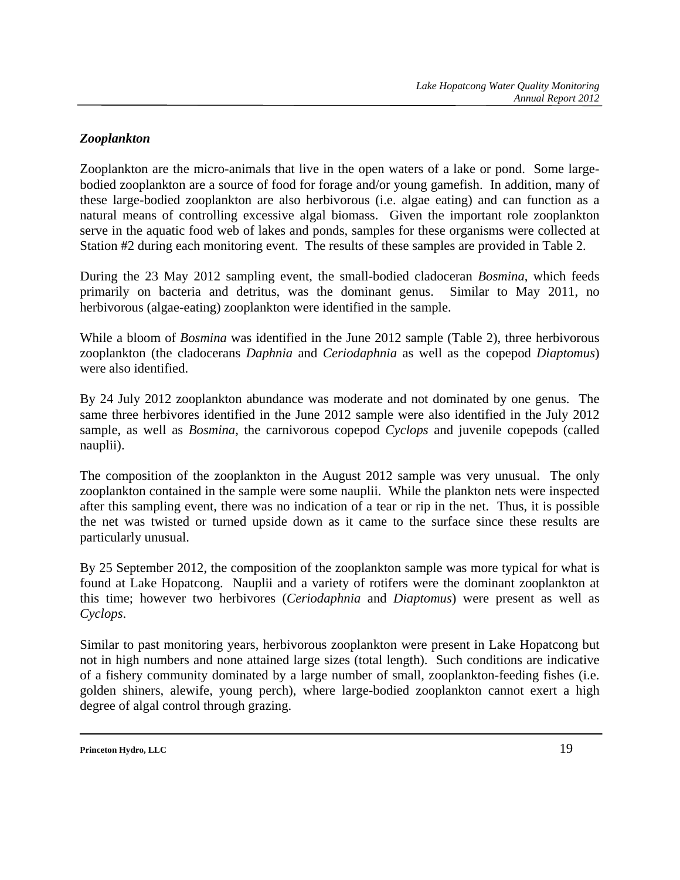### *Zooplankton*

Zooplankton are the micro-animals that live in the open waters of a lake or pond. Some largebodied zooplankton are a source of food for forage and/or young gamefish. In addition, many of these large-bodied zooplankton are also herbivorous (i.e. algae eating) and can function as a natural means of controlling excessive algal biomass. Given the important role zooplankton serve in the aquatic food web of lakes and ponds, samples for these organisms were collected at Station #2 during each monitoring event. The results of these samples are provided in Table 2.

During the 23 May 2012 sampling event, the small-bodied cladoceran *Bosmina*, which feeds primarily on bacteria and detritus, was the dominant genus. Similar to May 2011, no herbivorous (algae-eating) zooplankton were identified in the sample.

While a bloom of *Bosmina* was identified in the June 2012 sample (Table 2), three herbivorous zooplankton (the cladocerans *Daphnia* and *Ceriodaphnia* as well as the copepod *Diaptomus*) were also identified.

By 24 July 2012 zooplankton abundance was moderate and not dominated by one genus. The same three herbivores identified in the June 2012 sample were also identified in the July 2012 sample, as well as *Bosmina*, the carnivorous copepod *Cyclops* and juvenile copepods (called nauplii).

The composition of the zooplankton in the August 2012 sample was very unusual. The only zooplankton contained in the sample were some nauplii. While the plankton nets were inspected after this sampling event, there was no indication of a tear or rip in the net. Thus, it is possible the net was twisted or turned upside down as it came to the surface since these results are particularly unusual.

By 25 September 2012, the composition of the zooplankton sample was more typical for what is found at Lake Hopatcong. Nauplii and a variety of rotifers were the dominant zooplankton at this time; however two herbivores (*Ceriodaphnia* and *Diaptomus*) were present as well as *Cyclops*.

Similar to past monitoring years, herbivorous zooplankton were present in Lake Hopatcong but not in high numbers and none attained large sizes (total length). Such conditions are indicative of a fishery community dominated by a large number of small, zooplankton-feeding fishes (i.e. golden shiners, alewife, young perch), where large-bodied zooplankton cannot exert a high degree of algal control through grazing.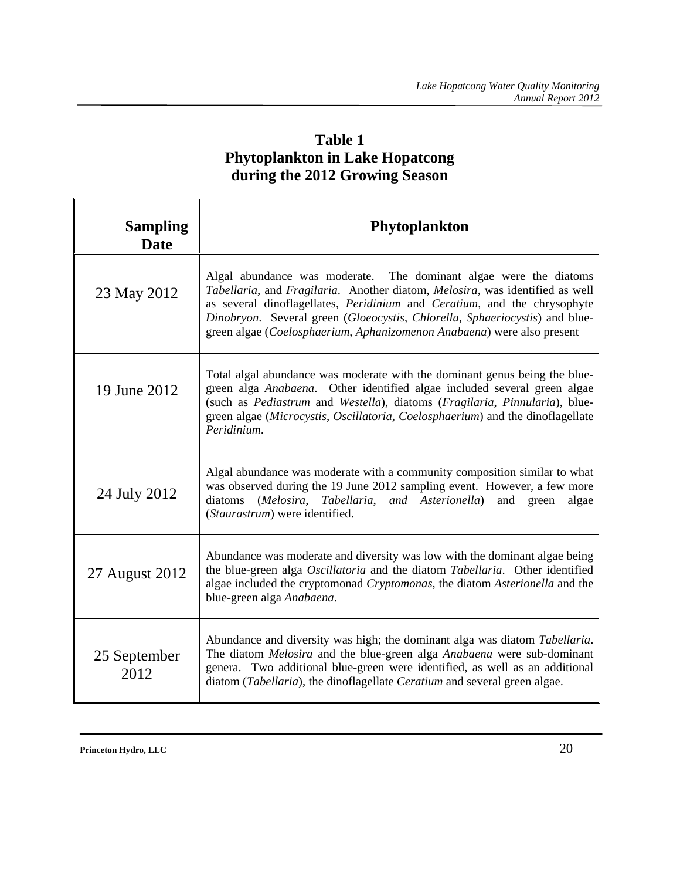## **Table 1 Phytoplankton in Lake Hopatcong during the 2012 Growing Season**

| <b>Sampling</b><br><b>Date</b> | <b>Phytoplankton</b>                                                                                                                                                                                                                                                                                                                                                                                  |
|--------------------------------|-------------------------------------------------------------------------------------------------------------------------------------------------------------------------------------------------------------------------------------------------------------------------------------------------------------------------------------------------------------------------------------------------------|
| 23 May 2012                    | Algal abundance was moderate. The dominant algae were the diatoms<br>Tabellaria, and Fragilaria. Another diatom, Melosira, was identified as well<br>as several dinoflagellates, <i>Peridinium</i> and <i>Ceratium</i> , and the chrysophyte<br>Dinobryon. Several green (Gloeocystis, Chlorella, Sphaeriocystis) and blue-<br>green algae (Coelosphaerium, Aphanizomenon Anabaena) were also present |
| 19 June 2012                   | Total algal abundance was moderate with the dominant genus being the blue-<br>green alga Anabaena. Other identified algae included several green algae<br>(such as Pediastrum and Westella), diatoms (Fragilaria, Pinnularia), blue-<br>green algae (Microcystis, Oscillatoria, Coelosphaerium) and the dinoflagellate<br>Peridinium.                                                                 |
| 24 July 2012                   | Algal abundance was moderate with a community composition similar to what<br>was observed during the 19 June 2012 sampling event. However, a few more<br>(Melosira, Tabellaria, and Asterionella)<br>diatoms<br>and<br>algae<br>green<br>(Staurastrum) were identified.                                                                                                                               |
| 27 August 2012                 | Abundance was moderate and diversity was low with the dominant algae being<br>the blue-green alga Oscillatoria and the diatom Tabellaria. Other identified<br>algae included the cryptomonad Cryptomonas, the diatom Asterionella and the<br>blue-green alga Anabaena.                                                                                                                                |
| 25 September<br>2012           | Abundance and diversity was high; the dominant alga was diatom Tabellaria.<br>The diatom Melosira and the blue-green alga Anabaena were sub-dominant<br>genera. Two additional blue-green were identified, as well as an additional<br>diatom (Tabellaria), the dinoflagellate Ceratium and several green algae.                                                                                      |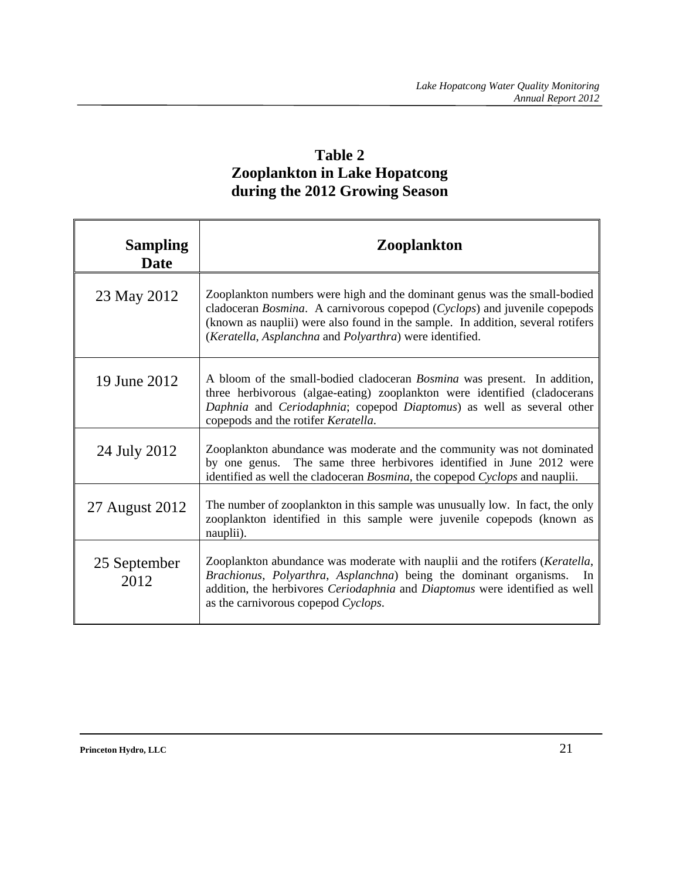## **Table 2 Zooplankton in Lake Hopatcong during the 2012 Growing Season**

| <b>Sampling</b><br>Date | <b>Zooplankton</b>                                                                                                                                                                                                                                                                                   |
|-------------------------|------------------------------------------------------------------------------------------------------------------------------------------------------------------------------------------------------------------------------------------------------------------------------------------------------|
| 23 May 2012             | Zooplankton numbers were high and the dominant genus was the small-bodied<br>cladoceran Bosmina. A carnivorous copepod (Cyclops) and juvenile copepods<br>(known as nauplii) were also found in the sample. In addition, several rotifers<br>(Keratella, Asplanchna and Polyarthra) were identified. |
| 19 June 2012            | A bloom of the small-bodied cladoceran <i>Bosmina</i> was present. In addition,<br>three herbivorous (algae-eating) zooplankton were identified (cladocerans<br>Daphnia and Ceriodaphnia; copepod Diaptomus) as well as several other<br>copepods and the rotifer Keratella.                         |
| 24 July 2012            | Zooplankton abundance was moderate and the community was not dominated<br>by one genus. The same three herbivores identified in June 2012 were<br>identified as well the cladoceran <i>Bosmina</i> , the copepod <i>Cyclops</i> and nauplii.                                                         |
| 27 August 2012          | The number of zooplankton in this sample was unusually low. In fact, the only<br>zooplankton identified in this sample were juvenile copepods (known as<br>nauplii).                                                                                                                                 |
| 25 September<br>2012    | Zooplankton abundance was moderate with nauplii and the rotifers (Keratella,<br>Brachionus, Polyarthra, Asplanchna) being the dominant organisms. In<br>addition, the herbivores Ceriodaphnia and Diaptomus were identified as well<br>as the carnivorous copepod Cyclops.                           |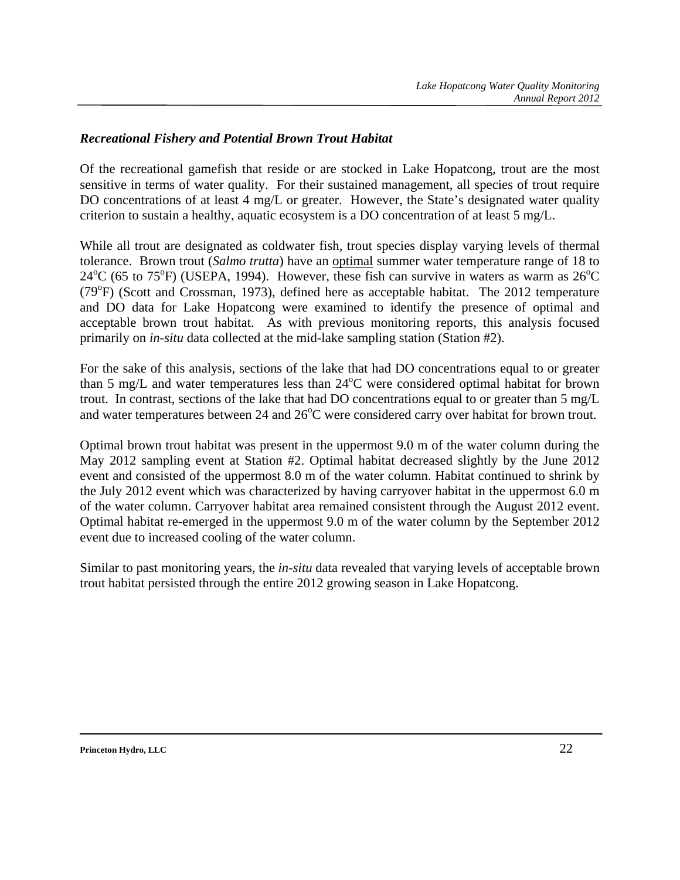#### *Recreational Fishery and Potential Brown Trout Habitat*

Of the recreational gamefish that reside or are stocked in Lake Hopatcong, trout are the most sensitive in terms of water quality. For their sustained management, all species of trout require DO concentrations of at least 4 mg/L or greater. However, the State's designated water quality criterion to sustain a healthy, aquatic ecosystem is a DO concentration of at least 5 mg/L.

While all trout are designated as coldwater fish, trout species display varying levels of thermal tolerance. Brown trout (*Salmo trutta*) have an optimal summer water temperature range of 18 to  $24^{\circ}$ C (65 to 75<sup>o</sup>F) (USEPA, 1994). However, these fish can survive in waters as warm as  $26^{\circ}$ C (79°F) (Scott and Crossman, 1973), defined here as acceptable habitat. The 2012 temperature and DO data for Lake Hopatcong were examined to identify the presence of optimal and acceptable brown trout habitat. As with previous monitoring reports, this analysis focused primarily on *in-situ* data collected at the mid-lake sampling station (Station #2).

For the sake of this analysis, sections of the lake that had DO concentrations equal to or greater than 5 mg/L and water temperatures less than  $24^{\circ}$ C were considered optimal habitat for brown trout. In contrast, sections of the lake that had DO concentrations equal to or greater than 5 mg/L and water temperatures between 24 and  $26^{\circ}$ C were considered carry over habitat for brown trout.

Optimal brown trout habitat was present in the uppermost 9.0 m of the water column during the May 2012 sampling event at Station #2. Optimal habitat decreased slightly by the June 2012 event and consisted of the uppermost 8.0 m of the water column. Habitat continued to shrink by the July 2012 event which was characterized by having carryover habitat in the uppermost 6.0 m of the water column. Carryover habitat area remained consistent through the August 2012 event. Optimal habitat re-emerged in the uppermost 9.0 m of the water column by the September 2012 event due to increased cooling of the water column.

Similar to past monitoring years, the *in-situ* data revealed that varying levels of acceptable brown trout habitat persisted through the entire 2012 growing season in Lake Hopatcong.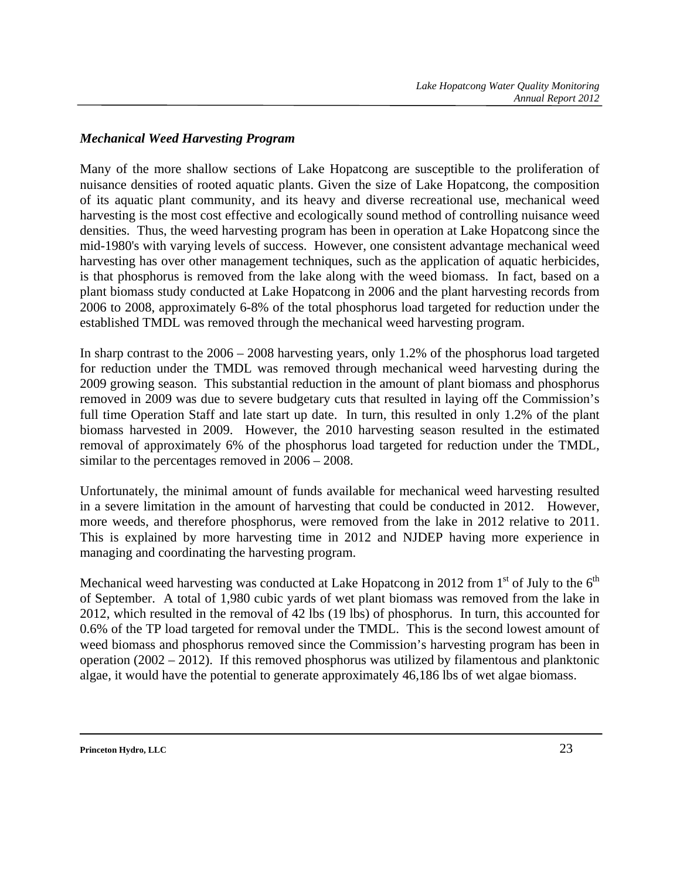#### *Mechanical Weed Harvesting Program*

Many of the more shallow sections of Lake Hopatcong are susceptible to the proliferation of nuisance densities of rooted aquatic plants. Given the size of Lake Hopatcong, the composition of its aquatic plant community, and its heavy and diverse recreational use, mechanical weed harvesting is the most cost effective and ecologically sound method of controlling nuisance weed densities. Thus, the weed harvesting program has been in operation at Lake Hopatcong since the mid-1980's with varying levels of success. However, one consistent advantage mechanical weed harvesting has over other management techniques, such as the application of aquatic herbicides, is that phosphorus is removed from the lake along with the weed biomass. In fact, based on a plant biomass study conducted at Lake Hopatcong in 2006 and the plant harvesting records from 2006 to 2008, approximately 6-8% of the total phosphorus load targeted for reduction under the established TMDL was removed through the mechanical weed harvesting program.

In sharp contrast to the 2006 – 2008 harvesting years, only 1.2% of the phosphorus load targeted for reduction under the TMDL was removed through mechanical weed harvesting during the 2009 growing season. This substantial reduction in the amount of plant biomass and phosphorus removed in 2009 was due to severe budgetary cuts that resulted in laying off the Commission's full time Operation Staff and late start up date. In turn, this resulted in only 1.2% of the plant biomass harvested in 2009. However, the 2010 harvesting season resulted in the estimated removal of approximately 6% of the phosphorus load targeted for reduction under the TMDL, similar to the percentages removed in 2006 – 2008.

Unfortunately, the minimal amount of funds available for mechanical weed harvesting resulted in a severe limitation in the amount of harvesting that could be conducted in 2012. However, more weeds, and therefore phosphorus, were removed from the lake in 2012 relative to 2011. This is explained by more harvesting time in 2012 and NJDEP having more experience in managing and coordinating the harvesting program.

Mechanical weed harvesting was conducted at Lake Hopatcong in 2012 from  $1<sup>st</sup>$  of July to the  $6<sup>th</sup>$ of September. A total of 1,980 cubic yards of wet plant biomass was removed from the lake in 2012, which resulted in the removal of 42 lbs (19 lbs) of phosphorus. In turn, this accounted for 0.6% of the TP load targeted for removal under the TMDL. This is the second lowest amount of weed biomass and phosphorus removed since the Commission's harvesting program has been in operation (2002 – 2012). If this removed phosphorus was utilized by filamentous and planktonic algae, it would have the potential to generate approximately 46,186 lbs of wet algae biomass.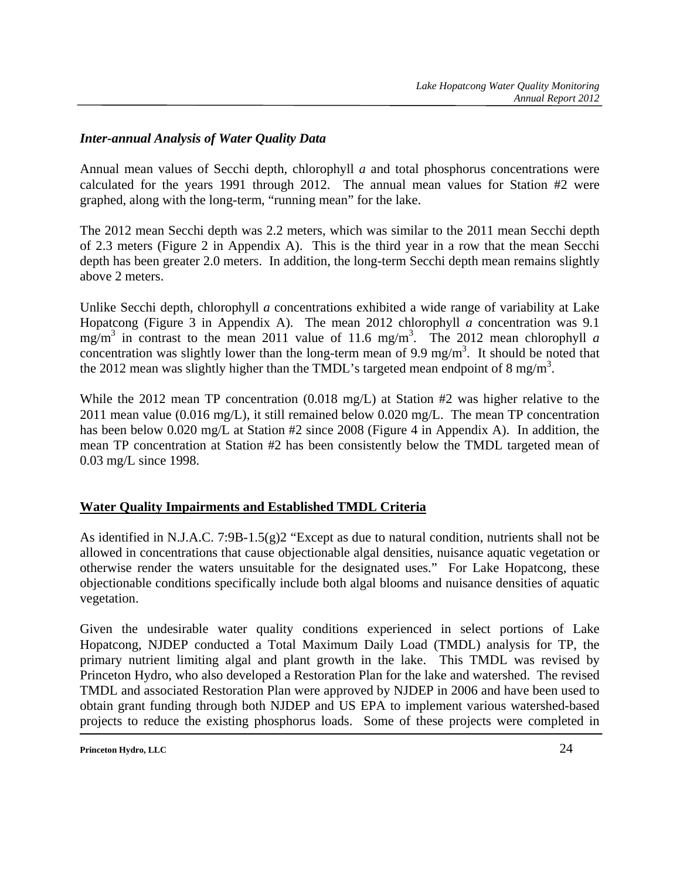### *Inter-annual Analysis of Water Quality Data*

Annual mean values of Secchi depth, chlorophyll *a* and total phosphorus concentrations were calculated for the years 1991 through 2012. The annual mean values for Station #2 were graphed, along with the long-term, "running mean" for the lake.

The 2012 mean Secchi depth was 2.2 meters, which was similar to the 2011 mean Secchi depth of 2.3 meters (Figure 2 in Appendix A). This is the third year in a row that the mean Secchi depth has been greater 2.0 meters. In addition, the long-term Secchi depth mean remains slightly above 2 meters.

Unlike Secchi depth, chlorophyll *a* concentrations exhibited a wide range of variability at Lake Hopatcong (Figure 3 in Appendix A). The mean 2012 chlorophyll *a* concentration was 9.1  $mg/m<sup>3</sup>$  in contrast to the mean 2011 value of 11.6 mg/m<sup>3</sup>. The 2012 mean chlorophyll *a* concentration was slightly lower than the long-term mean of 9.9 mg/m<sup>3</sup>. It should be noted that the 2012 mean was slightly higher than the TMDL's targeted mean endpoint of 8 mg/m<sup>3</sup>.

While the 2012 mean TP concentration (0.018 mg/L) at Station #2 was higher relative to the 2011 mean value (0.016 mg/L), it still remained below 0.020 mg/L. The mean TP concentration has been below 0.020 mg/L at Station #2 since 2008 (Figure 4 in Appendix A). In addition, the mean TP concentration at Station #2 has been consistently below the TMDL targeted mean of 0.03 mg/L since 1998.

## **Water Quality Impairments and Established TMDL Criteria**

As identified in N.J.A.C. 7:9B-1.5(g)2 "Except as due to natural condition, nutrients shall not be allowed in concentrations that cause objectionable algal densities, nuisance aquatic vegetation or otherwise render the waters unsuitable for the designated uses." For Lake Hopatcong, these objectionable conditions specifically include both algal blooms and nuisance densities of aquatic vegetation.

Given the undesirable water quality conditions experienced in select portions of Lake Hopatcong, NJDEP conducted a Total Maximum Daily Load (TMDL) analysis for TP, the primary nutrient limiting algal and plant growth in the lake. This TMDL was revised by Princeton Hydro, who also developed a Restoration Plan for the lake and watershed. The revised TMDL and associated Restoration Plan were approved by NJDEP in 2006 and have been used to obtain grant funding through both NJDEP and US EPA to implement various watershed-based projects to reduce the existing phosphorus loads. Some of these projects were completed in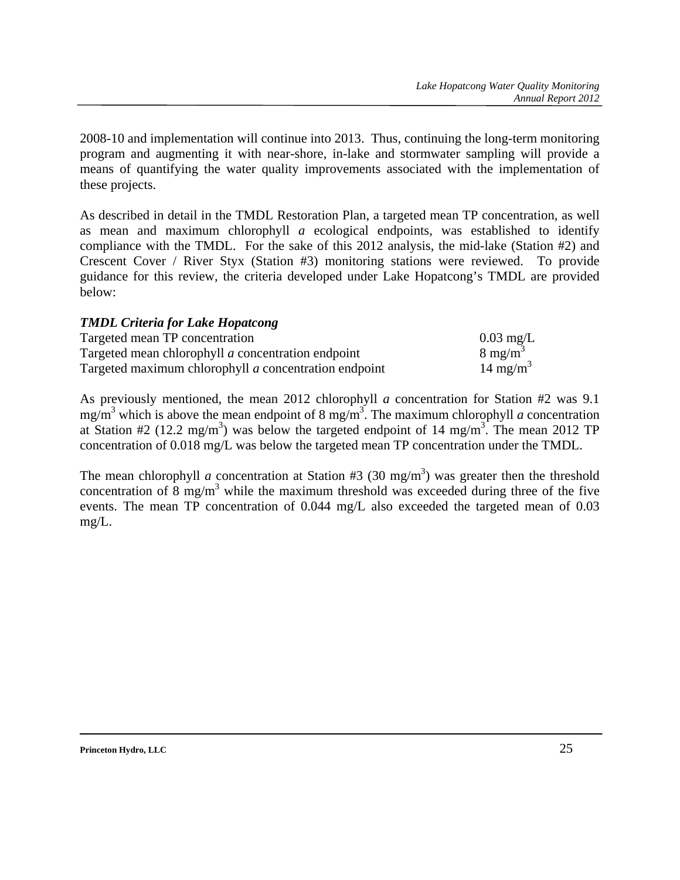2008-10 and implementation will continue into 2013. Thus, continuing the long-term monitoring program and augmenting it with near-shore, in-lake and stormwater sampling will provide a means of quantifying the water quality improvements associated with the implementation of these projects.

As described in detail in the TMDL Restoration Plan, a targeted mean TP concentration, as well as mean and maximum chlorophyll *a* ecological endpoints, was established to identify compliance with the TMDL. For the sake of this 2012 analysis, the mid-lake (Station #2) and Crescent Cover / River Styx (Station #3) monitoring stations were reviewed. To provide guidance for this review, the criteria developed under Lake Hopatcong's TMDL are provided below:

#### *TMDL Criteria for Lake Hopatcong*

| Targeted mean TP concentration                        | $0.03 \text{ mg/L}$  |
|-------------------------------------------------------|----------------------|
| Targeted mean chlorophyll a concentration endpoint    | $8 \text{ mg/m}^3$   |
| Targeted maximum chlorophyll a concentration endpoint | 14 mg/m <sup>3</sup> |

As previously mentioned, the mean 2012 chlorophyll *a* concentration for Station #2 was 9.1 mg/m3 which is above the mean endpoint of 8 mg/m3 . The maximum chlorophyll *a* concentration at Station #2 (12.2 mg/m<sup>3</sup>) was below the targeted endpoint of 14 mg/m<sup>3</sup>. The mean 2012 TP concentration of 0.018 mg/L was below the targeted mean TP concentration under the TMDL.

The mean chlorophyll *a* concentration at Station #3 (30 mg/m<sup>3</sup>) was greater then the threshold concentration of  $\frac{8 \text{ mg/m}^3}{2}$  while the maximum threshold was exceeded during three of the five events. The mean TP concentration of 0.044 mg/L also exceeded the targeted mean of 0.03 mg/L.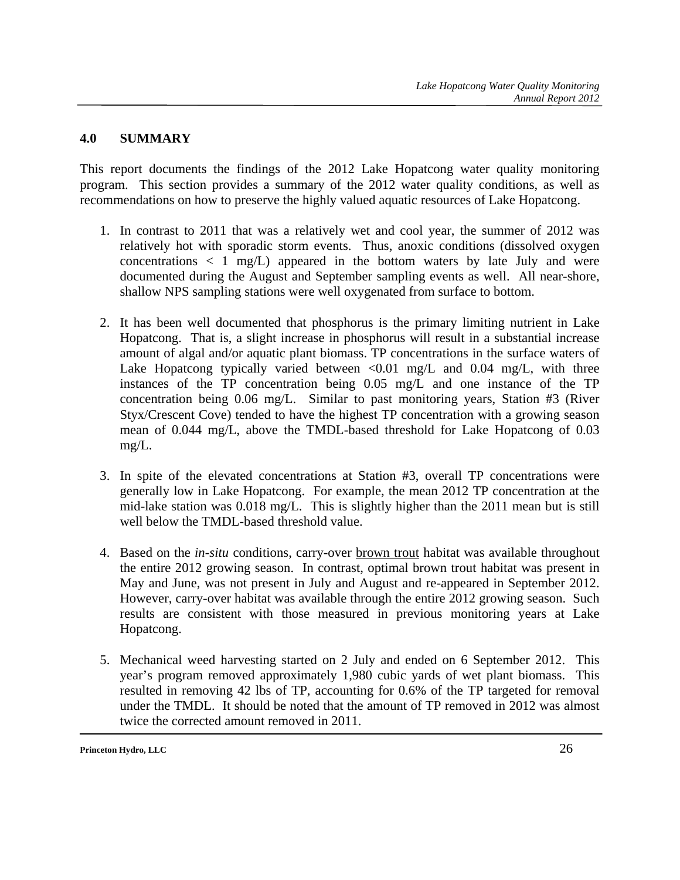### **4.0 SUMMARY**

This report documents the findings of the 2012 Lake Hopatcong water quality monitoring program. This section provides a summary of the 2012 water quality conditions, as well as recommendations on how to preserve the highly valued aquatic resources of Lake Hopatcong.

- 1. In contrast to 2011 that was a relatively wet and cool year, the summer of 2012 was relatively hot with sporadic storm events. Thus, anoxic conditions (dissolved oxygen concentrations  $\langle 1 \text{ mg/L} \rangle$  appeared in the bottom waters by late July and were documented during the August and September sampling events as well. All near-shore, shallow NPS sampling stations were well oxygenated from surface to bottom.
- 2. It has been well documented that phosphorus is the primary limiting nutrient in Lake Hopatcong. That is, a slight increase in phosphorus will result in a substantial increase amount of algal and/or aquatic plant biomass. TP concentrations in the surface waters of Lake Hopatcong typically varied between  $\langle 0.01 \text{ mg/L}$  and  $0.04 \text{ mg/L}$ , with three instances of the TP concentration being 0.05 mg/L and one instance of the TP concentration being 0.06 mg/L. Similar to past monitoring years, Station #3 (River Styx/Crescent Cove) tended to have the highest TP concentration with a growing season mean of 0.044 mg/L, above the TMDL-based threshold for Lake Hopatcong of 0.03 mg/L.
- 3. In spite of the elevated concentrations at Station #3, overall TP concentrations were generally low in Lake Hopatcong. For example, the mean 2012 TP concentration at the mid-lake station was 0.018 mg/L. This is slightly higher than the 2011 mean but is still well below the TMDL-based threshold value.
- 4. Based on the *in-situ* conditions, carry-over brown trout habitat was available throughout the entire 2012 growing season. In contrast, optimal brown trout habitat was present in May and June, was not present in July and August and re-appeared in September 2012. However, carry-over habitat was available through the entire 2012 growing season. Such results are consistent with those measured in previous monitoring years at Lake Hopatcong.
- 5. Mechanical weed harvesting started on 2 July and ended on 6 September 2012. This year's program removed approximately 1,980 cubic yards of wet plant biomass. This resulted in removing 42 lbs of TP, accounting for 0.6% of the TP targeted for removal under the TMDL. It should be noted that the amount of TP removed in 2012 was almost twice the corrected amount removed in 2011.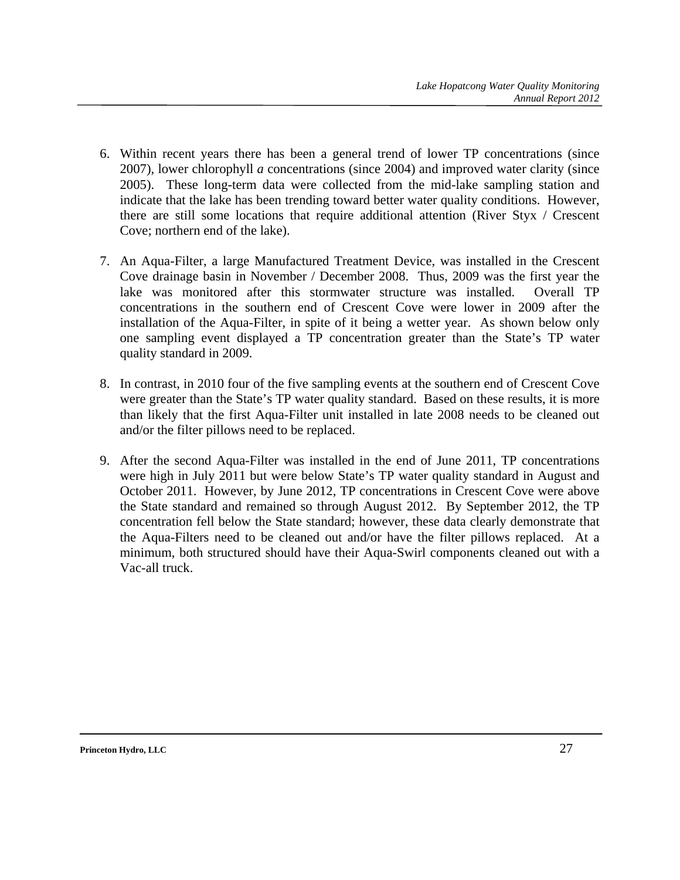- 6. Within recent years there has been a general trend of lower TP concentrations (since 2007), lower chlorophyll *a* concentrations (since 2004) and improved water clarity (since 2005). These long-term data were collected from the mid-lake sampling station and indicate that the lake has been trending toward better water quality conditions. However, there are still some locations that require additional attention (River Styx / Crescent Cove; northern end of the lake).
- 7. An Aqua-Filter, a large Manufactured Treatment Device, was installed in the Crescent Cove drainage basin in November / December 2008. Thus, 2009 was the first year the lake was monitored after this stormwater structure was installed. Overall TP concentrations in the southern end of Crescent Cove were lower in 2009 after the installation of the Aqua-Filter, in spite of it being a wetter year. As shown below only one sampling event displayed a TP concentration greater than the State's TP water quality standard in 2009.
- 8. In contrast, in 2010 four of the five sampling events at the southern end of Crescent Cove were greater than the State's TP water quality standard. Based on these results, it is more than likely that the first Aqua-Filter unit installed in late 2008 needs to be cleaned out and/or the filter pillows need to be replaced.
- 9. After the second Aqua-Filter was installed in the end of June 2011, TP concentrations were high in July 2011 but were below State's TP water quality standard in August and October 2011. However, by June 2012, TP concentrations in Crescent Cove were above the State standard and remained so through August 2012. By September 2012, the TP concentration fell below the State standard; however, these data clearly demonstrate that the Aqua-Filters need to be cleaned out and/or have the filter pillows replaced. At a minimum, both structured should have their Aqua-Swirl components cleaned out with a Vac-all truck.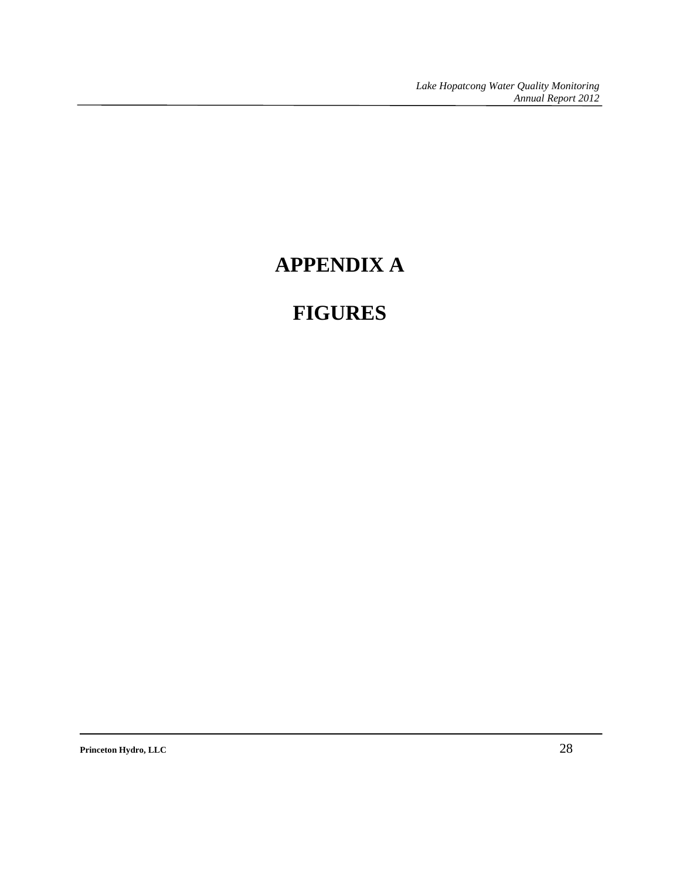## **APPENDIX A**

## **FIGURES**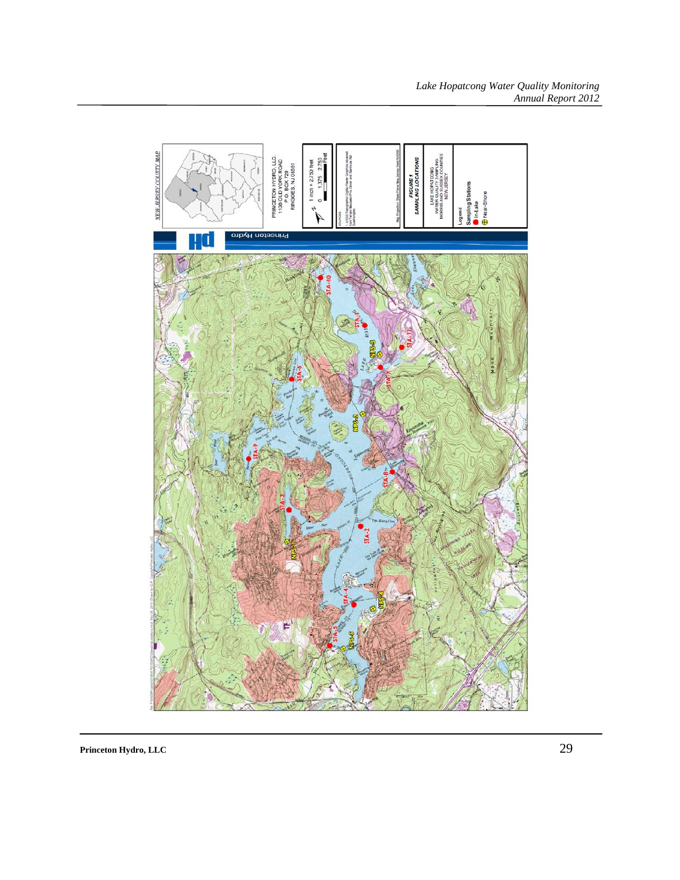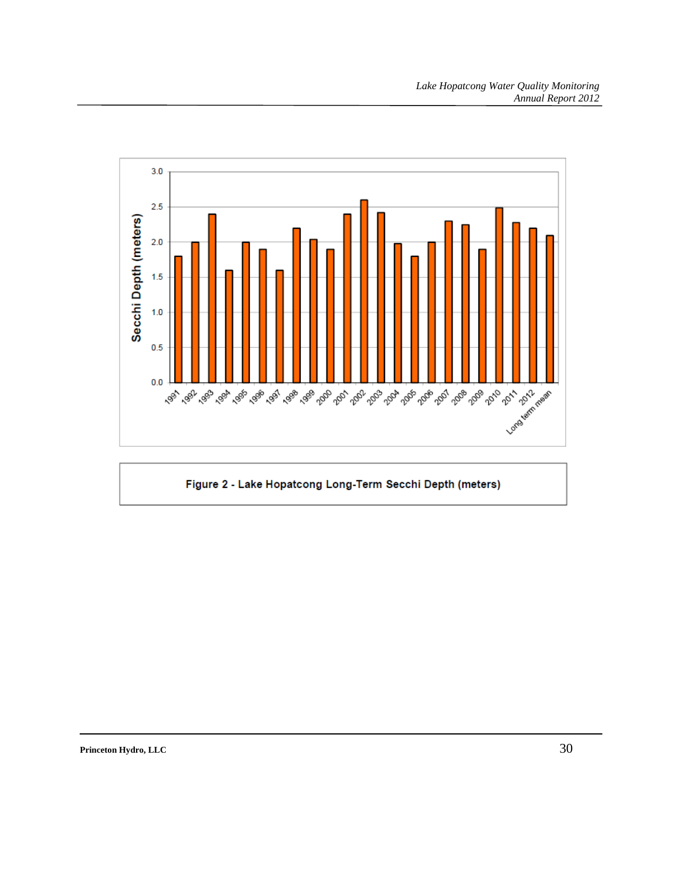

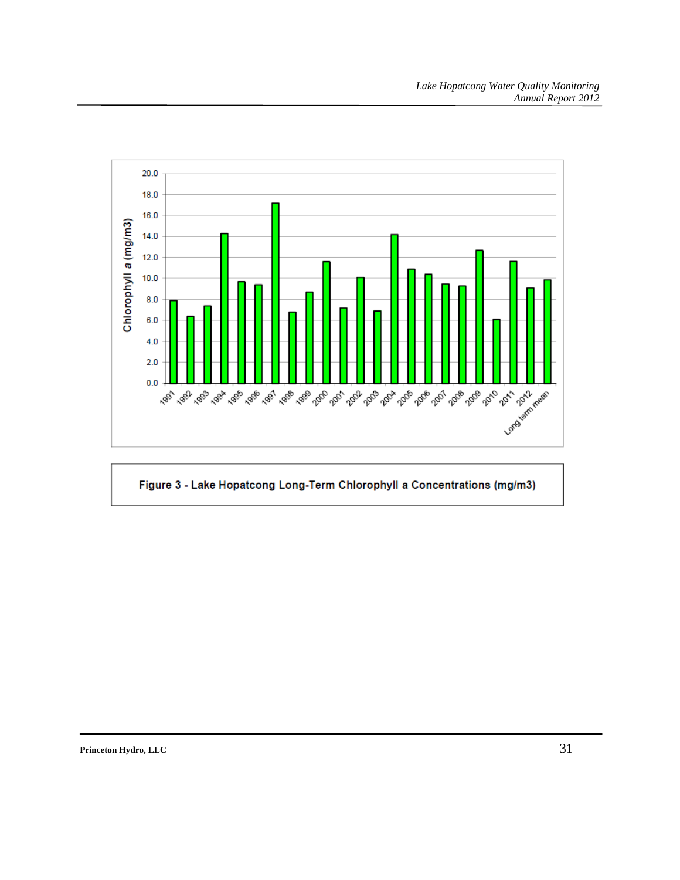

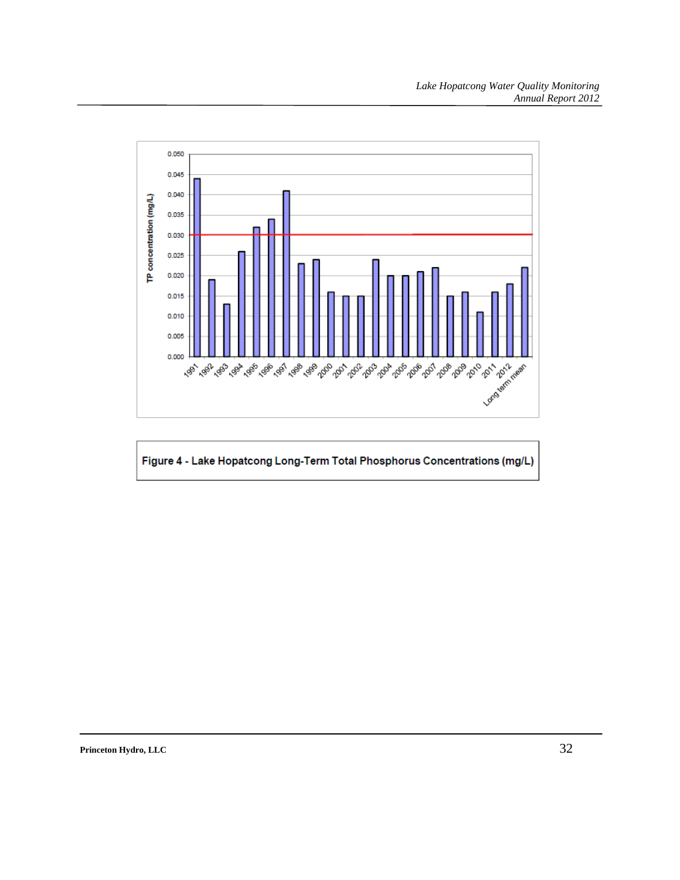

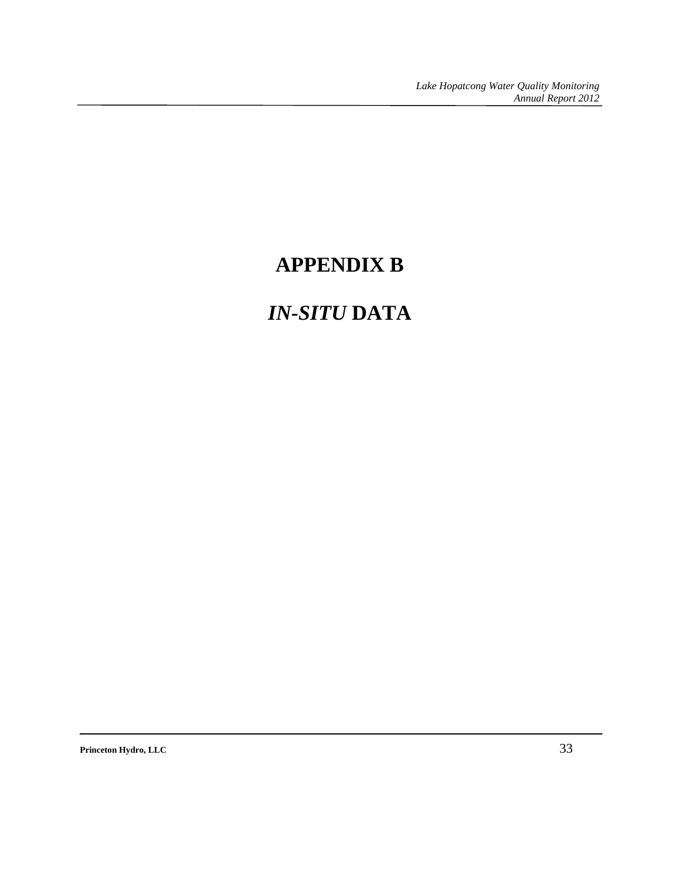## **APPENDIX B**

## *IN-SITU* **DATA**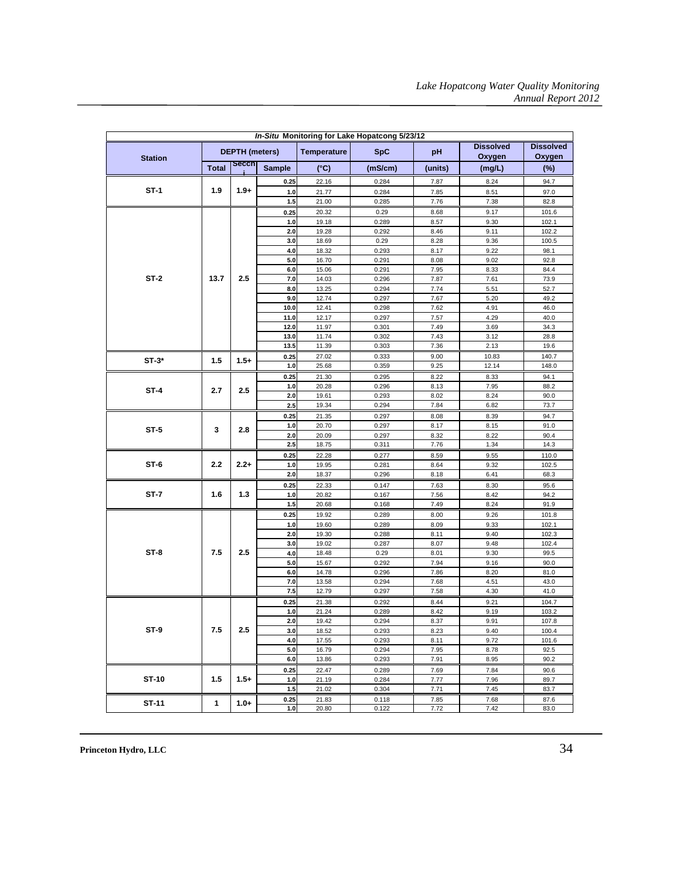| In-Situ Monitoring for Lake Hopatcong 5/23/12 |              |                       |               |                    |                |              |                            |                            |  |  |
|-----------------------------------------------|--------------|-----------------------|---------------|--------------------|----------------|--------------|----------------------------|----------------------------|--|--|
| <b>Station</b>                                |              | <b>DEPTH</b> (meters) |               | <b>Temperature</b> | <b>SpC</b>     | pH           | <b>Dissolved</b><br>Oxygen | <b>Dissolved</b><br>Oxygen |  |  |
|                                               | <b>Total</b> | <b>Secch</b>          | <b>Sample</b> | $(^{\circ}C)$      | (mS/cm)        | (units)      | (mg/L)                     | $(\%)$                     |  |  |
|                                               |              |                       | 0.25          | 22.16              | 0.284          | 7.87         | 8.24                       | 94.7                       |  |  |
| $ST-1$                                        | 1.9          | $1.9+$                | 1.0           | 21.77              | 0.284          | 7.85         | 8.51                       | 97.0                       |  |  |
|                                               |              |                       | 1.5           | 21.00              | 0.285          | 7.76         | 7.38                       | 82.8                       |  |  |
|                                               |              |                       | 0.25          | 20.32              | 0.29           | 8.68         | 9.17                       | 101.6                      |  |  |
|                                               |              |                       | 1.0           | 19.18              | 0.289          | 8.57         | 9.30                       | 102.1                      |  |  |
|                                               |              |                       | 2.0           | 19.28              | 0.292          | 8.46         | 9.11                       | 102.2                      |  |  |
|                                               |              |                       | 3.0           | 18.69              | 0.29           | 8.28         | 9.36                       | 100.5                      |  |  |
|                                               |              |                       | 4.0           | 18.32              | 0.293          | 8.17         | 9.22                       | 98.1                       |  |  |
|                                               |              |                       | 5.0           | 16.70              | 0.291          | 8.08         | 9.02                       | 92.8                       |  |  |
|                                               |              |                       | 6.0           | 15.06              | 0.291          | 7.95         | 8.33                       | 84.4                       |  |  |
| $ST-2$                                        | 13.7         | 2.5                   | 7.0           | 14.03              | 0.296          | 7.87         | 7.61                       | 73.9                       |  |  |
|                                               |              |                       | 8.0           | 13.25              | 0.294          | 7.74         | 5.51                       | 52.7                       |  |  |
|                                               |              |                       | 9.0           | 12.74              | 0.297          | 7.67         | 5.20                       | 49.2                       |  |  |
|                                               |              |                       | 10.0          | 12.41              | 0.298          | 7.62         | 4.91                       | 46.0                       |  |  |
|                                               |              |                       | 11.0          | 12.17              | 0.297          | 7.57         | 4.29                       | 40.0                       |  |  |
|                                               |              |                       | 12.0          | 11.97              | 0.301          | 7.49         | 3.69                       | 34.3                       |  |  |
|                                               |              |                       | 13.0          | 11.74              | 0.302          | 7.43         | 3.12                       | 28.8                       |  |  |
|                                               |              |                       | 13.5          | 11.39              | 0.303          | 7.36         | 2.13                       | 19.6                       |  |  |
| $ST-3*$                                       | 1.5          | $1.5+$                | 0.25          | 27.02              | 0.333          | 9.00         | 10.83                      | 140.7                      |  |  |
|                                               |              |                       | 1.0           | 25.68              | 0.359          | 9.25         | 12.14                      | 148.0                      |  |  |
|                                               | 2.7          |                       | 0.25          | 21.30              | 0.295          | 8.22         | 8.33                       | 94.1                       |  |  |
| ST-4                                          |              | 2.5                   | 1.0           | 20.28              | 0.296          | 8.13         | 7.95                       | 88.2                       |  |  |
|                                               |              |                       | 2.0           | 19.61              | 0.293          | 8.02         | 8.24                       | 90.0                       |  |  |
|                                               |              |                       | 2.5           | 19.34              | 0.294          | 7.84         | 6.82                       | 73.7                       |  |  |
|                                               |              |                       | 0.25          | 21.35              | 0.297          | 8.08         | 8.39                       | 94.7                       |  |  |
| $ST-5$                                        | 3            | 2.8                   | $1.0$         | 20.70              | 0.297          | 8.17         | 8.15                       | 91.0                       |  |  |
|                                               |              |                       | 2.0           | 20.09              | 0.297          | 8.32         | 8.22                       | 90.4                       |  |  |
|                                               |              |                       | 2.5           | 18.75              | 0.311          | 7.76         | 1.34                       | 14.3                       |  |  |
| ST-6                                          | 2.2          | $2.2 +$               | 0.25          | 22.28              | 0.277          | 8.59         | 9.55                       | 110.0                      |  |  |
|                                               |              |                       | 1.0<br>2.0    | 19.95<br>18.37     | 0.281<br>0.296 | 8.64<br>8.18 | 9.32<br>6.41               | 102.5<br>68.3              |  |  |
|                                               |              |                       |               |                    |                |              |                            |                            |  |  |
| ST-7                                          | 1.6          | 1.3                   | 0.25<br>1.0   | 22.33<br>20.82     | 0.147<br>0.167 | 7.63<br>7.56 | 8.30<br>8.42               | 95.6<br>94.2               |  |  |
|                                               |              |                       | $1.5$         | 20.68              | 0.168          | 7.49         | 8.24                       | 91.9                       |  |  |
|                                               |              |                       |               |                    |                |              |                            |                            |  |  |
|                                               |              |                       | 0.25<br>1.0   | 19.92<br>19.60     | 0.289<br>0.289 | 8.00<br>8.09 | 9.26<br>9.33               | 101.8<br>102.1             |  |  |
|                                               |              |                       | 2.0           | 19.30              | 0.288          | 8.11         | 9.40                       | 102.3                      |  |  |
|                                               | 7.5          | 2.5                   | 3.0           | 19.02              | 0.287          | 8.07         | 9.48                       | 102.4                      |  |  |
| $ST-8$                                        |              |                       | 4.0           | 18.48              | 0.29           | 8.01         | 9.30                       | 99.5                       |  |  |
|                                               |              |                       | 5.0           | 15.67              | 0.292          | 7.94         | 9.16                       | 90.0                       |  |  |
|                                               |              |                       | $6.0\,$       | 14.78              | 0.296          | 7.86         | 8.20                       | 81.0                       |  |  |
|                                               |              |                       | 7.0           | 13.58              | 0.294          | 7.68         | 4.51                       | 43.0                       |  |  |
|                                               |              |                       | 7.5           | 12.79              | 0.297          | 7.58         | 4.30                       | 41.0                       |  |  |
|                                               |              |                       | 0.25          | 21.38              | 0.292          | 8.44         | 9.21                       | 104.7                      |  |  |
|                                               |              |                       | 1.0           | 21.24              | 0.289          | 8.42         | 9.19                       | 103.2                      |  |  |
|                                               |              |                       | 2.0           | 19.42              | 0.294          | 8.37         | 9.91                       | 107.8                      |  |  |
| ST-9                                          | 7.5          | 2.5                   | 3.0           | 18.52              | 0.293          | 8.23         | 9.40                       | 100.4                      |  |  |
|                                               |              |                       | 4.0           | 17.55              | 0.293          | 8.11         | 9.72                       | 101.6                      |  |  |
|                                               |              |                       | 5.0           | 16.79              | 0.294          | 7.95         | 8.78                       | 92.5                       |  |  |
|                                               |              |                       | 6.0           | 13.86              | 0.293          | 7.91         | 8.95                       | 90.2                       |  |  |
|                                               |              |                       | 0.25          | 22.47              | 0.289          | 7.69         | 7.84                       | 90.6                       |  |  |
| ST-10                                         | 1.5          | $1.5+$                | $1.0$         | 21.19              | 0.284          | 7.77         | 7.96                       | 89.7                       |  |  |
|                                               |              |                       | 1.5           | 21.02              | 0.304          | 7.71         | 7.45                       | 83.7                       |  |  |
| ST-11                                         | 1            | $1.0+$                | 0.25          | 21.83              | 0.118          | 7.85         | 7.68                       | 87.6                       |  |  |
|                                               |              |                       | 1.0           | 20.80              | 0.122          | 7.72         | 7.42                       | 83.0                       |  |  |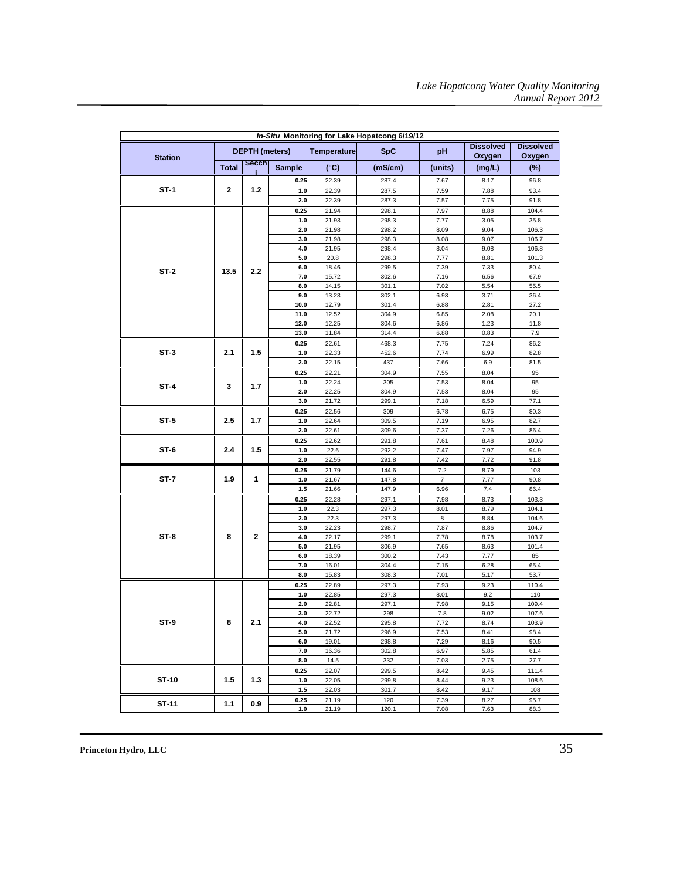| In-Situ Monitoring for Lake Hopatcong 6/19/12 |              |                       |               |                    |                |                |                            |                            |  |
|-----------------------------------------------|--------------|-----------------------|---------------|--------------------|----------------|----------------|----------------------------|----------------------------|--|
| <b>Station</b>                                |              | <b>DEPTH</b> (meters) |               | <b>Temperature</b> | <b>SpC</b>     | pH             | <b>Dissolved</b><br>Oxygen | <b>Dissolved</b><br>Oxygen |  |
|                                               | <b>Total</b> | <b>Secch</b>          | <b>Sample</b> | $(^{\circ}C)$      | (mS/cm)        | (units)        | (mg/L)                     | $(\%)$                     |  |
|                                               |              |                       | 0.25          | 22.39              | 287.4          | 7.67           | 8.17                       | 96.8                       |  |
| ST-1                                          | 2            | 1.2                   | 1.0           | 22.39              | 287.5          | 7.59           | 7.88                       | 93.4                       |  |
|                                               |              |                       | 2.0           | 22.39              | 287.3          | 7.57           | 7.75                       | 91.8                       |  |
|                                               |              |                       | 0.25          | 21.94              | 298.1          | 7.97           | 8.88                       | 104.4                      |  |
|                                               |              |                       | 1.0           | 21.93              | 298.3          | 7.77           | 3.05                       | 35.8                       |  |
|                                               |              |                       | 2.0           | 21.98              | 298.2          | 8.09           | 9.04                       | 106.3                      |  |
|                                               |              |                       | 3.0           | 21.98              | 298.3          | 8.08           | 9.07                       | 106.7                      |  |
|                                               |              |                       | 4.0           | 21.95              | 298.4          | 8.04           | 9.08                       | 106.8                      |  |
|                                               |              |                       | 5.0           | 20.8               | 298.3          | 7.77           | 8.81                       | 101.3                      |  |
| $ST-2$                                        | 13.5         | 2.2                   | 6.0           | 18.46              | 299.5          | 7.39           | 7.33                       | 80.4                       |  |
|                                               |              |                       | 7.0           | 15.72              | 302.6          | 7.16           | 6.56                       | 67.9                       |  |
|                                               |              |                       | 8.0           | 14.15              | 301.1          | 7.02           | 5.54                       | 55.5                       |  |
|                                               |              |                       | 9.0           | 13.23              | 302.1          | 6.93           | 3.71                       | 36.4                       |  |
|                                               |              |                       | 10.0          | 12.79              | 301.4          | 6.88           | 2.81                       | 27.2                       |  |
|                                               |              |                       | 11.0          | 12.52              | 304.9          | 6.85           | 2.08                       | 20.1                       |  |
|                                               |              |                       | 12.0          | 12.25              | 304.6          | 6.86           | 1.23                       | 11.8                       |  |
|                                               |              |                       | 13.0          | 11.84              | 314.4          | 6.88           | 0.83                       | 7.9                        |  |
|                                               |              |                       | 0.25          | 22.61              | 468.3          | 7.75           | 7.24                       | 86.2                       |  |
| $ST-3$                                        | 2.1          | 1.5                   | 1.0           | 22.33              | 452.6          | 7.74           | 6.99                       | 82.8                       |  |
|                                               |              |                       | 2.0           | 22.15              | 437            | 7.66           | 6.9                        | 81.5                       |  |
|                                               |              |                       | 0.25          | 22.21              | 304.9          | 7.55           | 8.04                       | 95                         |  |
| $ST-4$                                        | 3            | 1.7                   | 1.0           | 22.24              | 305            | 7.53           | 8.04                       | 95                         |  |
|                                               |              |                       | 2.0           | 22.25              | 304.9          | 7.53           | 8.04                       | 95                         |  |
|                                               |              |                       | 3.0           | 21.72              | 299.1          | 7.18           | 6.59                       | 77.1                       |  |
|                                               | 2.5          |                       | 0.25          | 22.56              | 309            | 6.78           | 6.75                       | 80.3                       |  |
| $ST-5$                                        |              | 1.7                   | 1.0           | 22.64              | 309.5          | 7.19           | 6.95                       | 82.7                       |  |
|                                               |              |                       | 2.0           | 22.61              | 309.6          | 7.37           | 7.26                       | 86.4                       |  |
|                                               |              |                       | 0.25          | 22.62              | 291.8          | 7.61           | 8.48                       | 100.9                      |  |
| $ST-6$                                        | 2.4          | 1.5                   | 1.0           | 22.6               | 292.2          | 7.47           | 7.97                       | 94.9                       |  |
|                                               |              |                       | 2.0           | 22.55              | 291.8          | 7.42           | 7.72                       | 91.8                       |  |
|                                               |              |                       | 0.25          | 21.79              | 144.6          | 7.2            | 8.79                       | 103                        |  |
| ST-7                                          | 1.9          | 1                     | 1.0           | 21.67              | 147.8          | $\overline{7}$ | 7.77                       | 90.8                       |  |
|                                               |              |                       | 1.5           | 21.66              | 147.9          | 6.96           | 7.4                        | 86.4                       |  |
|                                               |              |                       | 0.25          | 22.28              | 297.1          | 7.98           | 8.73                       | 103.3                      |  |
|                                               |              |                       | 1.0           | 22.3               | 297.3          | 8.01           | 8.79                       | 104.1                      |  |
|                                               |              |                       | 2.0           | 22.3               | 297.3          | 8              | 8.84                       | 104.6                      |  |
| $ST-8$                                        | 8            | $\mathbf{2}$          | 3.0<br>4.0    | 22.23<br>22.17     | 298.7          | 7.87           | 8.86<br>8.78               | 104.7<br>103.7             |  |
|                                               |              |                       | 5.0           | 21.95              | 299.1<br>306.9 | 7.78<br>7.65   | 8.63                       | 101.4                      |  |
|                                               |              |                       | 6.0           | 18.39              | 300.2          | 7.43           | 7.77                       | 85                         |  |
|                                               |              |                       | 7.0           | 16.01              | 304.4          | 7.15           | 6.28                       | 65.4                       |  |
|                                               |              |                       | 8.0           | 15.83              | 308.3          | 7.01           | 5.17                       | 53.7                       |  |
|                                               |              |                       | 0.25          | 22.89              | 297.3          | 7.93           | 9.23                       | 110.4                      |  |
|                                               |              |                       | 1.0           | 22.85              | 297.3          | 8.01           | 9.2                        | 110                        |  |
|                                               |              |                       | 2.0           | 22.81              | 297.1          | 7.98           | 9.15                       | 109.4                      |  |
|                                               |              |                       | 3.0           | 22.72              | 298            | 7.8            | 9.02                       | 107.6                      |  |
| $ST-9$                                        | 8            | 2.1                   | 4.0           | 22.52              | 295.8          | 7.72           | 8.74                       | 103.9                      |  |
|                                               |              |                       | 5.0           | 21.72              | 296.9          | 7.53           | 8.41                       | 98.4                       |  |
|                                               |              |                       | 6.0           | 19.01              | 298.8          | 7.29           | 8.16                       | 90.5                       |  |
|                                               |              |                       | 7.0           | 16.36              | 302.8          | 6.97           | 5.85                       | 61.4                       |  |
|                                               |              |                       | 8.0           | 14.5               | 332            | 7.03           | 2.75                       | 27.7                       |  |
|                                               |              |                       | 0.25          | 22.07              | 299.5          | 8.42           | 9.45                       | 111.4                      |  |
| ST-10                                         | 1.5          | 1.3                   | 1.0           | 22.05              | 299.8          | 8.44           | 9.23                       | 108.6                      |  |
|                                               |              |                       | 1.5           | 22.03              | 301.7          | 8.42           | 9.17                       | 108                        |  |
| ST-11                                         | 1.1          | 0.9                   | 0.25          | 21.19              | 120            | 7.39           | 8.27                       | 95.7                       |  |
|                                               |              |                       | 1.0           | 21.19              | 120.1          | 7.08           | 7.63                       | 88.3                       |  |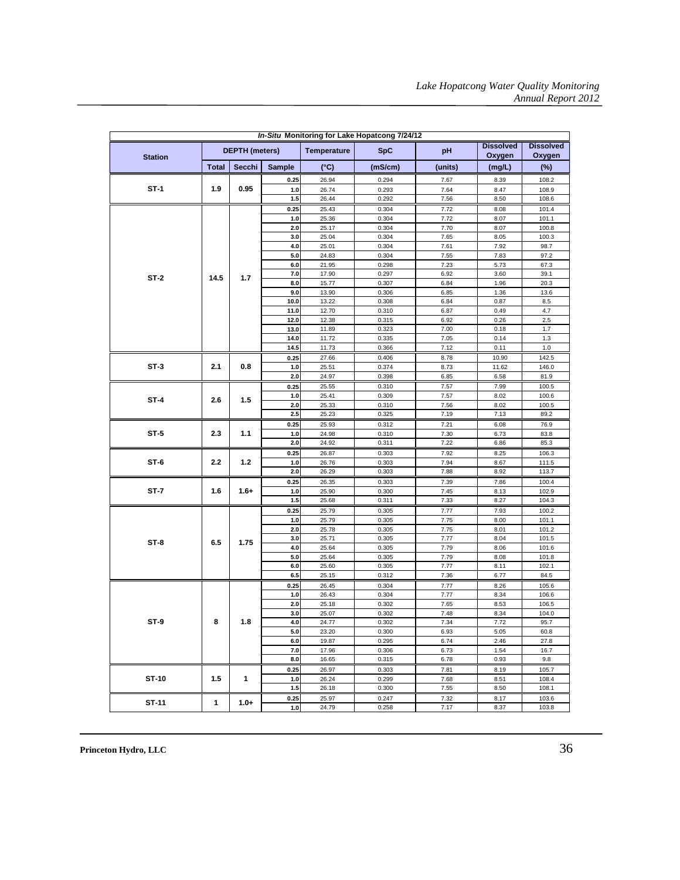| In-Situ Monitoring for Lake Hopatcong 7/24/12 |                  |                       |               |                    |                |              |                            |                            |       |  |  |
|-----------------------------------------------|------------------|-----------------------|---------------|--------------------|----------------|--------------|----------------------------|----------------------------|-------|--|--|
| <b>Station</b>                                |                  | <b>DEPTH</b> (meters) |               | <b>Temperature</b> | <b>SpC</b>     | pH           | <b>Dissolved</b><br>Oxygen | <b>Dissolved</b><br>Oxygen |       |  |  |
|                                               | <b>Total</b>     | Secchi                | <b>Sample</b> | $(^{\circ}C)$      | (mS/cm)        | (units)      | (mg/L)                     | $(\%)$                     |       |  |  |
|                                               |                  |                       | 0.25          | 26.94              | 0.294          | 7.67         | 8.39                       | 108.2                      |       |  |  |
| $ST-1$                                        | 1.9              | 0.95                  | 1.0           | 26.74              | 0.293          | 7.64         | 8.47                       | 108.9                      |       |  |  |
|                                               |                  |                       | 1.5           | 26.44              | 0.292          | 7.56         | 8.50                       | 108.6                      |       |  |  |
|                                               |                  |                       | 0.25          | 25.43              | 0.304          | 7.72         | 8.08                       | 101.4                      |       |  |  |
|                                               |                  |                       | 1.0           | 25.36              | 0.304          | 7.72         | 8.07                       | 101.1                      |       |  |  |
|                                               |                  |                       | 2.0           | 25.17              | 0.304          | 7.70         | 8.07                       | 100.8                      |       |  |  |
|                                               |                  |                       | 3.0           | 25.04              | 0.304          | 7.65         | 8.05                       | 100.3                      |       |  |  |
|                                               |                  |                       | 4.0           | 25.01              | 0.304          | 7.61         | 7.92                       | 98.7                       |       |  |  |
| $ST-2$                                        |                  |                       | 5.0           | 24.83              | 0.304          | 7.55         | 7.83                       | 97.2                       |       |  |  |
|                                               |                  |                       | 6.0           | 21.95              | 0.298          | 7.23         | 5.73                       | 67.3                       |       |  |  |
|                                               | 14.5             | 1.7                   | 7.0           | 17.90              | 0.297          | 6.92         | 3.60                       | 39.1                       |       |  |  |
|                                               |                  |                       | 8.0           | 15.77              | 0.307          | 6.84         | 1.96                       | 20.3                       |       |  |  |
|                                               |                  |                       | 9.0           | 13.90              | 0.306          | 6.85         | 1.36                       | 13.6                       |       |  |  |
|                                               |                  |                       | 10.0          | 13.22              | 0.308          | 6.84         | 0.87                       | 8.5                        |       |  |  |
|                                               |                  |                       | 11.0          | 12.70              | 0.310          | 6.87         | 0.49                       | 4.7                        |       |  |  |
|                                               |                  |                       | 12.0          | 12.38              | 0.315          | 6.92         | 0.26                       | 2.5                        |       |  |  |
|                                               |                  |                       | 13.0<br>14.0  | 11.89<br>11.72     | 0.323<br>0.335 | 7.00<br>7.05 | 0.18<br>0.14               | 1.7<br>1.3                 |       |  |  |
|                                               |                  |                       | 14.5          | 11.73              | 0.366          | 7.12         | 0.11                       | $1.0$                      |       |  |  |
|                                               |                  |                       | 0.25          | 27.66              | 0.406          | 8.78         | 10.90                      | 142.5                      |       |  |  |
| $ST-3$                                        | 2.1              | 0.8                   | 1.0           | 25.51              | 0.374          | 8.73         | 11.62                      | 146.0                      |       |  |  |
|                                               |                  |                       | 2.0           | 24.97              | 0.398          | 6.85         | 6.58                       | 81.9                       |       |  |  |
|                                               | 2.6              |                       | 0.25          | 25.55              | 0.310          | 7.57         | 7.99                       | 100.5                      |       |  |  |
|                                               |                  | 1.5                   | 1.0           | 25.41              | 0.309          | 7.57         | 8.02                       | 100.6                      |       |  |  |
| $ST-4$                                        |                  |                       | 2.0           | 25.33              | 0.310          | 7.56         | 8.02                       | 100.5                      |       |  |  |
|                                               |                  |                       | 2.5           | 25.23              | 0.325          | 7.19         | 7.13                       | 89.2                       |       |  |  |
|                                               |                  |                       | 0.25          | 25.93              | 0.312          | 7.21         | 6.08                       | 76.9                       |       |  |  |
| $ST-5$                                        | 2.3              | 1.1                   | 1.0           | 24.98              | 0.310          | 7.30         | 6.73                       | 83.8                       |       |  |  |
|                                               |                  |                       | 2.0           | 24.92              | 0.311          | 7.22         | 6.86                       | 85.3                       |       |  |  |
|                                               |                  |                       | 0.25          | 26.87              | 0.303          | 7.92         | 8.25                       | 106.3                      |       |  |  |
| $ST-6$                                        | $2.2\phantom{0}$ | $1.2$                 | 1.0           | 26.76              | 0.303          | 7.94         | 8.67                       | 111.5                      |       |  |  |
|                                               |                  |                       | 2.0           | 26.29              | 0.303          | 7.88         | 8.92                       | 113.7                      |       |  |  |
|                                               |                  |                       | 0.25          | 26.35              | 0.303          | 7.39         | 7.86                       | 100.4                      |       |  |  |
| $ST-7$                                        | 1.6              |                       | $1.6+$        | 1.0                | 25.90          | 0.300        | 7.45                       | 8.13                       | 102.9 |  |  |
|                                               |                  |                       | 1.5           | 25.68              | 0.311          | 7.33         | 8.27                       | 104.3                      |       |  |  |
|                                               |                  |                       | 0.25          | 25.79              | 0.305          | 7.77         | 7.93                       | 100.2                      |       |  |  |
|                                               |                  |                       | 1.0           | 25.79              | 0.305          | 7.75         | 8.00                       | 101.1                      |       |  |  |
|                                               |                  |                       | 2.0           | 25.78              | 0.305          | 7.75         | 8.01                       | 101.2                      |       |  |  |
| ST-8                                          | 6.5              | 1.75                  | 3.0           | 25.71              | 0.305          | 7.77         | 8.04                       | 101.5                      |       |  |  |
|                                               |                  |                       | 4.0           | 25.64              | 0.305          | 7.79         | 8.06                       | 101.6                      |       |  |  |
|                                               |                  |                       | 5.0           | 25.64              | 0.305          | 7.79         | 8.08                       | 101.8                      |       |  |  |
|                                               |                  |                       | 6.0           | 25.60              | 0.305          | 7.77         | 8.11                       | 102.1                      |       |  |  |
|                                               |                  |                       | 6.5           | 25.15              | 0.312          | 7.36         | 6.77                       | 84.5                       |       |  |  |
|                                               |                  |                       | 0.25<br>1.0   | 26.45<br>26.43     | 0.304<br>0.304 | 7.77         | 8.26<br>8.34               | 105.6<br>106.6             |       |  |  |
|                                               |                  |                       | 2.0           | 25.18              | 0.302          | 7.77<br>7.65 | 8.53                       | 106.5                      |       |  |  |
|                                               |                  |                       | 3.0           | 25.07              | 0.302          | 7.48         | 8.34                       | 104.0                      |       |  |  |
| ST-9                                          | 8                | 1.8                   | 4.0           | 24.77              | 0.302          | 7.34         | 7.72                       | 95.7                       |       |  |  |
|                                               |                  |                       | 5.0           | 23.20              | 0.300          | 6.93         | 5.05                       | 60.8                       |       |  |  |
|                                               |                  |                       | 6.0           | 19.87              | 0.295          | 6.74         | 2.46                       | 27.8                       |       |  |  |
|                                               |                  |                       | 7.0           | 17.96              | 0.306          | 6.73         | 1.54                       | 16.7                       |       |  |  |
|                                               |                  |                       | 8.0           | 16.65              | 0.315          | 6.78         | 0.93                       | 9.8                        |       |  |  |
|                                               |                  |                       | 0.25          | 26.97              | 0.303          | 7.81         | 8.19                       | 105.7                      |       |  |  |
| ST-10                                         | $1.5\,$          | 1                     | 1.0           | 26.24              | 0.299          | 7.68         | 8.51                       | 108.4                      |       |  |  |
|                                               |                  |                       | 1.5           | 26.18              | 0.300          | 7.55         | 8.50                       | 108.1                      |       |  |  |
|                                               |                  |                       | 0.25          | 25.97              | 0.247          | 7.32         | 8.17                       | 103.6                      |       |  |  |
| ST-11                                         | 1                | $1.0+$                | 1.0           | 24.79              | 0.258          | 7.17         | 8.37                       | 103.8                      |       |  |  |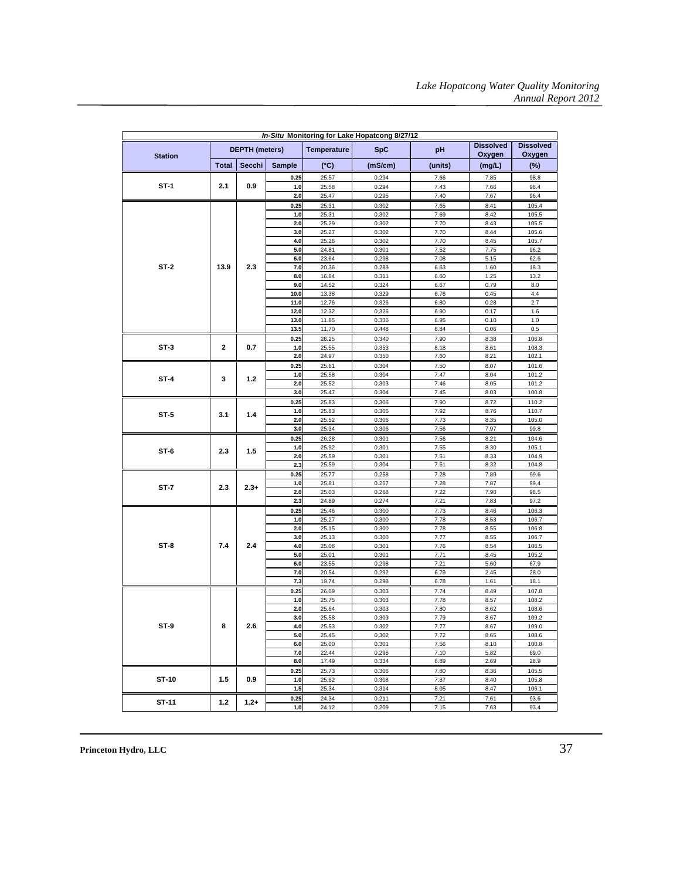| In-Situ Monitoring for Lake Hopatcong 8/27/12 |              |                       |               |                    |                |              |                  |                  |  |  |  |
|-----------------------------------------------|--------------|-----------------------|---------------|--------------------|----------------|--------------|------------------|------------------|--|--|--|
|                                               |              |                       |               | <b>Temperature</b> |                |              | <b>Dissolved</b> | <b>Dissolved</b> |  |  |  |
| <b>Station</b>                                |              | <b>DEPTH</b> (meters) |               |                    | <b>SpC</b>     | pH           | Oxygen           | Oxygen           |  |  |  |
|                                               | <b>Total</b> | Secchi                | <b>Sample</b> | (°C)               | (mS/cm)        | (units)      | (mg/L)           | $(\%)$           |  |  |  |
|                                               |              |                       | 0.25          | 25.57              | 0.294          | 7.66         | 7.85             | 98.8             |  |  |  |
| $ST-1$                                        | 2.1          | 0.9                   | 1.0           | 25.58              | 0.294          | 7.43         | 7.66             | 96.4             |  |  |  |
|                                               |              |                       | 2.0           | 25.47              | 0.295          | 7.40         | 7.67             | 96.4             |  |  |  |
|                                               |              |                       | 0.25          | 25.31              | 0.302          | 7.65         | 8.41             | 105.4            |  |  |  |
|                                               |              |                       | $1.0$         | 25.31              | 0.302          | 7.69         | 8.42             | 105.5            |  |  |  |
|                                               |              |                       | 2.0           | 25.29              | 0.302          | 7.70         | 8.43             | 105.5            |  |  |  |
|                                               |              |                       | 3.0           | 25.27              | 0.302          | 7.70         | 8.44             | 105.6            |  |  |  |
|                                               |              |                       | 4.0           | 25.26              | 0.302          | 7.70         | 8.45             | 105.7            |  |  |  |
|                                               |              |                       | 5.0<br>6.0    | 24.81              | 0.301          | 7.52         | 7.75             | 96.2             |  |  |  |
|                                               | 13.9         | 2.3                   | 7.0           | 23.64<br>20.36     | 0.298<br>0.289 | 7.08<br>6.63 | 5.15<br>1.60     | 62.6<br>18.3     |  |  |  |
| <b>ST-2</b>                                   |              |                       | 8.0           | 16.84              | 0.311          | 6.60         | 1.25             | 13.2             |  |  |  |
|                                               |              |                       | 9.0           | 14.52              | 0.324          | 6.67         | 0.79             | 8.0              |  |  |  |
|                                               |              |                       | 10.0          | 13.38              | 0.329          | 6.76         | 0.45             | 4.4              |  |  |  |
|                                               |              |                       | 11.0          | 12.76              | 0.326          | 6.80         | 0.28             | 2.7              |  |  |  |
|                                               |              |                       | 12.0          | 12.32              | 0.326          | 6.90         | 0.17             | 1.6              |  |  |  |
|                                               |              |                       | 13.0          | 11.85              | 0.336          | 6.95         | 0.10             | 1.0              |  |  |  |
|                                               |              |                       | 13.5          | 11.70              | 0.448          | 6.84         | 0.06             | 0.5              |  |  |  |
|                                               |              |                       | 0.25          | 26.25              | 0.340          | 7.90         | 8.38             | 106.8            |  |  |  |
| $ST-3$                                        | $\mathbf{2}$ | 0.7                   | 1.0           | 25.55              | 0.353          | 8.18         | 8.61             | 108.3            |  |  |  |
|                                               |              |                       | 2.0           | 24.97              | 0.350          | 7.60         | 8.21             | 102.1            |  |  |  |
|                                               | 3            |                       | 0.25          | 25.61              | 0.304          | 7.50         | 8.07             | 101.6            |  |  |  |
| ST-4                                          |              | 1.2                   | 1.0           | 25.58              | 0.304          | 7.47         | 8.04             | 101.2            |  |  |  |
|                                               |              |                       | 2.0           | 25.52              | 0.303          | 7.46         | 8.05             | 101.2            |  |  |  |
|                                               |              |                       | 3.0           | 25.47              | 0.304          | 7.45         | 8.03             | 100.8            |  |  |  |
|                                               |              |                       | 0.25          | 25.83              | 0.306          | 7.90         | 8.72             | 110.2            |  |  |  |
| $ST-5$                                        | 3.1          | 1.4                   | $1.0$<br>2.0  | 25.83<br>25.52     | 0.306<br>0.306 | 7.92<br>7.73 | 8.76<br>8.35     | 110.7<br>105.0   |  |  |  |
|                                               |              |                       | 3.0           | 25.34              | 0.306          | 7.56         | 7.97             | 99.8             |  |  |  |
|                                               | 2.3          |                       | 0.25          | 26.28              | 0.301          | 7.56         | 8.21             | 104.6            |  |  |  |
|                                               |              | 1.5                   | 1.0           | 25.92              | 0.301          | 7.55         | 8.30             | 105.1            |  |  |  |
| ST-6                                          |              |                       | 2.0           | 25.59              | 0.301          | 7.51         | 8.33             | 104.9            |  |  |  |
|                                               |              |                       | 2.3           | 25.59              | 0.304          | 7.51         | 8.32             | 104.8            |  |  |  |
|                                               |              |                       | 0.25          | 25.77              | 0.258          | 7.28         | 7.89             | 99.6             |  |  |  |
| ST-7                                          | 2.3          | $2.3+$                | 1.0           | 25.81              | 0.257          | 7.28         | 7.87             | 99.4             |  |  |  |
|                                               |              |                       | 2.0           | 25.03              | 0.268          | 7.22         | 7.90             | 98.5             |  |  |  |
|                                               |              |                       | 2.3           | 24.89              | 0.274          | 7.21         | 7.83             | 97.2             |  |  |  |
|                                               |              |                       | 0.25          | 25.46              | 0.300          | 7.73         | 8.46             | 106.3            |  |  |  |
|                                               |              |                       | 1.0           | 25.27              | 0.300          | 7.78         | 8.53             | 106.7            |  |  |  |
|                                               |              |                       | 2.0           | 25.15              | 0.300          | 7.78         | 8.55             | 106.8            |  |  |  |
|                                               |              |                       | 3.0           | 25.13              | 0.300          | 7.77         | 8.55             | 106.7            |  |  |  |
| ST-8                                          | 7.4          | 2.4                   | 4.0           | 25.08              | 0.301          | 7.76         | 8.54             | 106.5            |  |  |  |
|                                               |              |                       | 5.0<br>6.0    | 25.01<br>23.55     | 0.301<br>0.298 | 7.71<br>7.21 | 8.45<br>5.60     | 105.2<br>67.9    |  |  |  |
|                                               |              |                       | 7.0           | 20.54              | 0.292          | 6.79         | 2.45             | 28.0             |  |  |  |
|                                               |              |                       | 7.3           | 19.74              | 0.298          | 6.78         | 1.61             | 18.1             |  |  |  |
|                                               |              |                       | 0.25          | 26.09              | 0.303          | 7.74         | 8.49             | 107.8            |  |  |  |
|                                               |              |                       | 1.0           | 25.75              | 0.303          | 7.78         | 8.57             | 108.2            |  |  |  |
|                                               |              |                       | 2.0           | 25.64              | 0.303          | 7.80         | 8.62             | 108.6            |  |  |  |
|                                               |              |                       | 3.0           | 25.58              | 0.303          | 7.79         | 8.67             | 109.2            |  |  |  |
| ST-9                                          | 8            | 2.6                   | 4.0           | 25.53              | 0.302          | 7.77         | 8.67             | 109.0            |  |  |  |
|                                               |              |                       | 5.0           | 25.45              | 0.302          | 7.72         | 8.65             | 108.6            |  |  |  |
|                                               |              |                       | 6.0           | 25.00              | 0.301          | 7.56         | 8.10             | 100.8            |  |  |  |
|                                               |              |                       | 7.0           | 22.44              | 0.296          | 7.10         | 5.82             | 69.0             |  |  |  |
|                                               |              |                       | 8.0           | 17.49              | 0.334          | 6.89         | 2.69             | 28.9             |  |  |  |
| ST-10                                         | 1.5          | 0.9                   | 0.25<br>1.0   | 25.73              | 0.306<br>0.308 | 7.80         | 8.36<br>8.40     | 105.5<br>105.8   |  |  |  |
|                                               |              |                       | 1.5           | 25.62<br>25.34     | 0.314          | 7.87<br>8.05 | 8.47             | 106.1            |  |  |  |
|                                               |              |                       |               |                    |                |              |                  |                  |  |  |  |
| ST-11                                         | 1.2          | $1.2 +$               | 0.25<br>$1.0$ | 24.34<br>24.12     | 0.211<br>0.209 | 7.21<br>7.15 | 7.61<br>7.63     | 93.6<br>93.4     |  |  |  |
|                                               |              |                       |               |                    |                |              |                  |                  |  |  |  |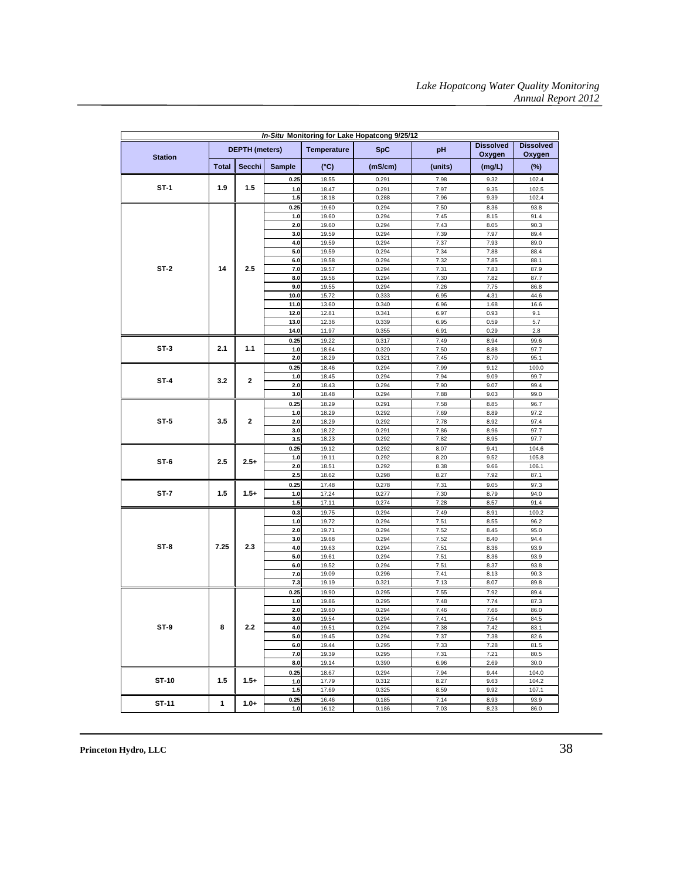| In-Situ Monitoring for Lake Hopatcong 9/25/12 |              |                       |                |                |                |              |                            |                            |  |  |  |
|-----------------------------------------------|--------------|-----------------------|----------------|----------------|----------------|--------------|----------------------------|----------------------------|--|--|--|
| <b>Station</b>                                |              | <b>DEPTH</b> (meters) |                | Temperature    | <b>SpC</b>     | pH           | <b>Dissolved</b><br>Oxygen | <b>Dissolved</b><br>Oxygen |  |  |  |
|                                               | <b>Total</b> | Secchi                | <b>Sample</b>  | $(^{\circ}C)$  | (mS/cm)        | (units)      | (mg/L)                     | $(\%)$                     |  |  |  |
|                                               |              |                       | 0.25           | 18.55          | 0.291          | 7.98         | 9.32                       | 102.4                      |  |  |  |
| $ST-1$                                        | 1.9          | 1.5                   | $1.0$          | 18.47          | 0.291          | 7.97         | 9.35                       | 102.5                      |  |  |  |
|                                               |              |                       | 1.5            | 18.18          | 0.288          | 7.96         | 9.39                       | 102.4                      |  |  |  |
|                                               |              |                       | 0.25           | 19.60          | 0.294          | 7.50         | 8.36                       | 93.8                       |  |  |  |
|                                               |              |                       | $1.0$          | 19.60          | 0.294          | 7.45         | 8.15                       | 91.4                       |  |  |  |
|                                               |              |                       | 2.0            | 19.60          | 0.294          | 7.43         | 8.05                       | 90.3                       |  |  |  |
|                                               |              |                       | 3.0            | 19.59          | 0.294          | 7.39         | 7.97                       | 89.4                       |  |  |  |
|                                               |              |                       | 4.0            | 19.59          | 0.294          | 7.37         | 7.93                       | 89.0                       |  |  |  |
| $ST-2$                                        |              |                       | 5.0            | 19.59          | 0.294          | 7.34         | 7.88                       | 88.4                       |  |  |  |
|                                               |              |                       | 6.0            | 19.58          | 0.294          | 7.32         | 7.85                       | 88.1                       |  |  |  |
|                                               | 14           | 2.5                   | 7.0            | 19.57          | 0.294          | 7.31         | 7.83                       | 87.9                       |  |  |  |
|                                               |              |                       | 8.0            | 19.56          | 0.294          | 7.30         | 7.82                       | 87.7                       |  |  |  |
|                                               |              |                       | 9.0            | 19.55          | 0.294          | 7.26         | 7.75<br>4.31               | 86.8                       |  |  |  |
|                                               |              |                       | 10.0<br>11.0   | 15.72<br>13.60 | 0.333<br>0.340 | 6.95<br>6.96 | 1.68                       | 44.6<br>16.6               |  |  |  |
|                                               |              |                       | 12.0           | 12.81          | 0.341          | 6.97         | 0.93                       | 9.1                        |  |  |  |
|                                               |              |                       | 13.0           | 12.36          | 0.339          | 6.95         | 0.59                       | 5.7                        |  |  |  |
|                                               |              |                       | 14.0           | 11.97          | 0.355          | 6.91         | 0.29                       | 2.8                        |  |  |  |
|                                               |              |                       | 0.25           | 19.22          | 0.317          | 7.49         | 8.94                       | 99.6                       |  |  |  |
| $ST-3$                                        | 2.1          | 1.1                   | 1.0            | 18.64          | 0.320          | 7.50         | 8.88                       | 97.7                       |  |  |  |
|                                               |              |                       | 2.0            | 18.29          | 0.321          | 7.45         | 8.70                       | 95.1                       |  |  |  |
|                                               |              |                       | 0.25           | 18.46          | 0.294          | 7.99         | 9.12                       | 100.0                      |  |  |  |
|                                               |              |                       | $1.0$          | 18.45          | 0.294          | 7.94         | 9.09                       | 99.7                       |  |  |  |
| $ST-4$                                        | 3.2          | 2                     | 2.0            | 18.43          | 0.294          | 7.90         | 9.07                       | 99.4                       |  |  |  |
|                                               |              |                       | 3.0            | 18.48          | 0.294          | 7.88         | 9.03                       | 99.0                       |  |  |  |
|                                               |              | 2                     | 0.25           | 18.29          | 0.291          | 7.58         | 8.85                       | 96.7                       |  |  |  |
| $ST-5$                                        |              |                       | 1.0            | 18.29          | 0.292          | 7.69         | 8.89                       | 97.2                       |  |  |  |
|                                               | 3.5          |                       | 2.0            | 18.29          | 0.292          | 7.78         | 8.92                       | 97.4                       |  |  |  |
|                                               |              |                       | 3.0            | 18.22          | 0.291          | 7.86         | 8.96                       | 97.7                       |  |  |  |
|                                               |              |                       | 3.5            | 18.23          | 0.292          | 7.82         | 8.95                       | 97.7                       |  |  |  |
|                                               | 2.5          | $2.5+$                | 0.25           | 19.12          | 0.292          | 8.07         | 9.41                       | 104.6                      |  |  |  |
| ST-6                                          |              |                       | 1.0            | 19.11          | 0.292          | 8.20         | 9.52                       | 105.8                      |  |  |  |
|                                               |              |                       | 2.0            | 18.51          | 0.292          | 8.38         | 9.66                       | 106.1                      |  |  |  |
|                                               |              |                       | 2.5            | 18.62          | 0.298          | 8.27         | 7.92                       | 87.1                       |  |  |  |
|                                               |              |                       | 0.25           | 17.48          | 0.278          | 7.31         | 9.05                       | 97.3                       |  |  |  |
| ST-7                                          | 1.5          | $1.5+$                | 1.0            | 17.24          | 0.277          | 7.30         | 8.79                       | 94.0                       |  |  |  |
|                                               |              |                       | $1.5$          | 17.11          | 0.274          | 7.28         | 8.57                       | 91.4                       |  |  |  |
|                                               |              |                       | 0.3            | 19.75          | 0.294          | 7.49         | 8.91                       | 100.2                      |  |  |  |
|                                               |              |                       | $1.0$<br>2.0   | 19.72          | 0.294<br>0.294 | 7.51<br>7.52 | 8.55<br>8.45               | 96.2                       |  |  |  |
|                                               |              |                       | 3.0            | 19.71<br>19.68 | 0.294          | 7.52         | 8.40                       | 95.0<br>94.4               |  |  |  |
| $ST-8$                                        | 7.25         | 2.3                   | 4.0            | 19.63          | 0.294          | 7.51         | 8.36                       | 93.9                       |  |  |  |
|                                               |              |                       | 5.0            | 19.61          | 0.294          | 7.51         | 8.36                       | 93.9                       |  |  |  |
|                                               |              |                       | 6.0            | 19.52          | 0.294          | 7.51         | 8.37                       | 93.8                       |  |  |  |
|                                               |              |                       | 7.0            | 19.09          | 0.296          | 7.41         | 8.13                       | 90.3                       |  |  |  |
|                                               |              |                       | 7.3            | 19.19          | 0.321          | 7.13         | 8.07                       | 89.8                       |  |  |  |
|                                               |              |                       | 0.25           | 19.90          | 0.295          | 7.55         | 7.92                       | 89.4                       |  |  |  |
|                                               |              |                       | $1.0$          | 19.86          | 0.295          | 7.48         | 7.74                       | 87.3                       |  |  |  |
|                                               |              |                       | 2.0            | 19.60          | 0.294          | 7.46         | 7.66                       | 86.0                       |  |  |  |
|                                               |              |                       | 3.0            | 19.54          | 0.294          | 7.41         | 7.54                       | 84.5                       |  |  |  |
| ST-9                                          | 8            | 2.2                   | 4.0            | 19.51          | 0.294          | 7.38         | 7.42                       | 83.1                       |  |  |  |
|                                               |              |                       | 5.0            | 19.45          | 0.294          | 7.37         | 7.38                       | 82.6                       |  |  |  |
|                                               |              |                       | 6.0            | 19.44          | 0.295          | 7.33         | 7.28                       | 81.5                       |  |  |  |
|                                               |              |                       | 7.0            | 19.39          | 0.295          | 7.31         | 7.21                       | 80.5                       |  |  |  |
|                                               |              |                       | 8.0            | 19.14          | 0.390          | 6.96         | 2.69                       | 30.0                       |  |  |  |
| ST-10                                         | 1.5          | $1.5+$                | 0.25           | 18.67          | 0.294          | 7.94         | 9.44                       | 104.0                      |  |  |  |
|                                               |              |                       | $1.0$<br>$1.5$ | 17.79<br>17.69 | 0.312<br>0.325 | 8.27<br>8.59 | 9.63<br>9.92               | 104.2<br>107.1             |  |  |  |
|                                               |              |                       |                |                |                |              |                            |                            |  |  |  |
| ST-11                                         | 1            | $1.0+$                | 0.25           | 16.46          | 0.185          | 7.14         | 8.93                       | 93.9                       |  |  |  |
|                                               |              |                       | 1.0            | 16.12          | 0.186          | 7.03         | 8.23                       | 86.0                       |  |  |  |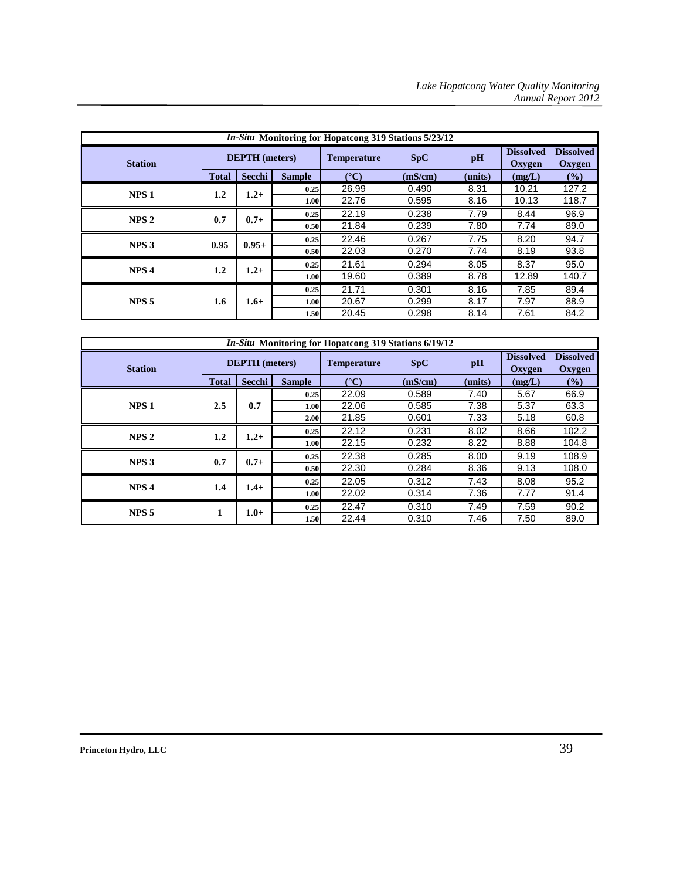| <i>In-Situ</i> Monitoring for Hopatcong 319 Stations 5/23/12 |                       |         |               |                    |         |         |                            |                              |  |  |  |  |
|--------------------------------------------------------------|-----------------------|---------|---------------|--------------------|---------|---------|----------------------------|------------------------------|--|--|--|--|
| <b>Station</b>                                               | <b>DEPTH</b> (meters) |         |               | <b>Temperature</b> | SpC     | pH      | <b>Dissolved</b><br>Oxygen | <b>Dissolved</b><br>Oxygen   |  |  |  |  |
|                                                              | <b>Total</b>          | Secchi  | <b>Sample</b> | $(^{\circ}C)$      | (mS/cm) | (units) | (mg/L)                     | $\left( \frac{9}{0} \right)$ |  |  |  |  |
| NPS <sub>1</sub>                                             | $1.2\,$               | $1.2+$  | 0.25          | 26.99              | 0.490   | 8.31    | 10.21                      | 127.2                        |  |  |  |  |
|                                                              |                       |         | 1.00          | 22.76              | 0.595   | 8.16    | 10.13                      | 118.7                        |  |  |  |  |
| NPS <sub>2</sub>                                             | 0.7                   | $0.7 +$ | 0.25          | 22.19              | 0.238   | 7.79    | 8.44                       | 96.9                         |  |  |  |  |
|                                                              |                       |         | 0.50          | 21.84              | 0.239   | 7.80    | 7.74                       | 89.0                         |  |  |  |  |
| NPS <sub>3</sub>                                             | 0.95                  | $0.95+$ | 0.25          | 22.46              | 0.267   | 7.75    | 8.20                       | 94.7                         |  |  |  |  |
|                                                              |                       |         | 0.50          | 22.03              | 0.270   | 7.74    | 8.19                       | 93.8                         |  |  |  |  |
| NPS <sub>4</sub>                                             |                       |         | 0.25          | 21.61              | 0.294   | 8.05    | 8.37                       | 95.0                         |  |  |  |  |
|                                                              | $1.2\,$               | $1.2+$  | 1.00          | 19.60              | 0.389   | 8.78    | 12.89                      | 140.7                        |  |  |  |  |
|                                                              |                       | $1.6+$  | 0.25          | 21.71              | 0.301   | 8.16    | 7.85                       | 89.4                         |  |  |  |  |
| NPS <sub>5</sub>                                             | 1.6                   |         | 1.00          | 20.67              | 0.299   | 8.17    | 7.97                       | 88.9                         |  |  |  |  |
|                                                              |                       |         | 1.50          | 20.45              | 0.298   | 8.14    | 7.61                       | 84.2                         |  |  |  |  |

| <i>In-Situ</i> Monitoring for Hopatcong 319 Stations 6/19/12 |                       |         |                    |               |         |                            |                            |       |
|--------------------------------------------------------------|-----------------------|---------|--------------------|---------------|---------|----------------------------|----------------------------|-------|
| <b>Station</b>                                               | <b>DEPTH</b> (meters) |         | <b>Temperature</b> | SpC           | pH      | <b>Dissolved</b><br>Oxygen | <b>Dissolved</b><br>Oxygen |       |
|                                                              | <b>Total</b>          | Secchi  | <b>Sample</b>      | $(^{\circ}C)$ | (mS/cm) | (units)                    | (mg/L)                     | (%)   |
|                                                              |                       |         | 0.25               | 22.09         | 0.589   | 7.40                       | 5.67                       | 66.9  |
| NPS <sub>1</sub>                                             | 2.5                   | 0.7     | 1.00               | 22.06         | 0.585   | 7.38                       | 5.37                       | 63.3  |
|                                                              |                       |         | 2.00               | 21.85         | 0.601   | 7.33                       | 5.18                       | 60.8  |
| NPS <sub>2</sub>                                             | $1.2\,$               | $1.2+$  | 0.25               | 22.12         | 0.231   | 8.02                       | 8.66                       | 102.2 |
|                                                              |                       |         | 1.00               | 22.15         | 0.232   | 8.22                       | 8.88                       | 104.8 |
| NPS <sub>3</sub>                                             |                       |         | 0.25               | 22.38         | 0.285   | 8.00                       | 9.19                       | 108.9 |
|                                                              | 0.7                   | $0.7 +$ | 0.50               | 22.30         | 0.284   | 8.36                       | 9.13                       | 108.0 |
|                                                              |                       |         | 0.25               | 22.05         | 0.312   | 7.43                       | 8.08                       | 95.2  |
| NPS <sub>4</sub>                                             | 1.4                   | $1.4+$  | 1.00 l             | 22.02         | 0.314   | 7.36                       | 7.77                       | 91.4  |
|                                                              |                       | $1.0+$  | 0.25               | 22.47         | 0.310   | 7.49                       | 7.59                       | 90.2  |
| NPS <sub>5</sub>                                             |                       |         | 1.50               | 22.44         | 0.310   | 7.46                       | 7.50                       | 89.0  |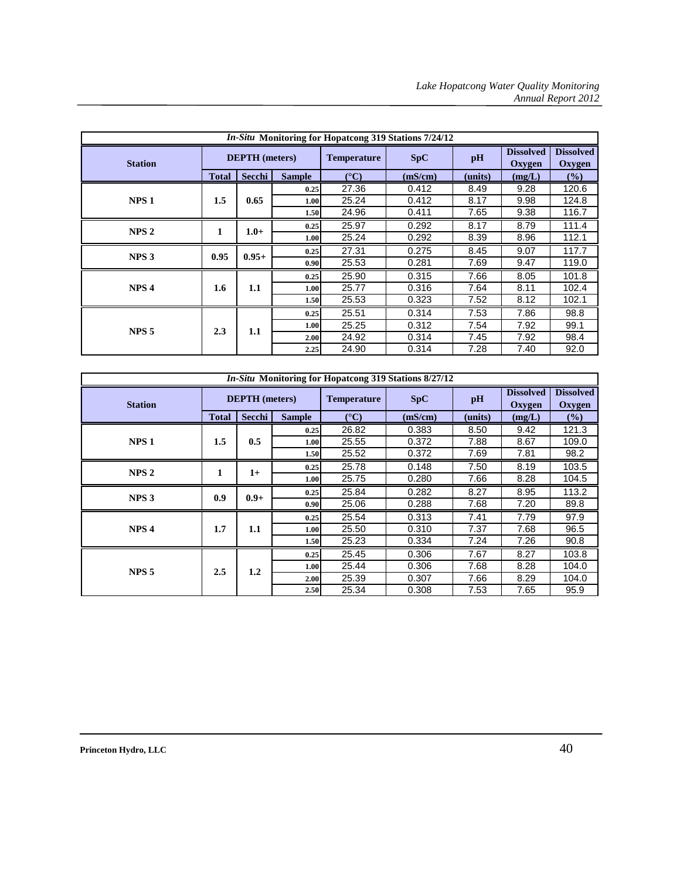| <i>In-Situ</i> Monitoring for Hopatcong 319 Stations 7/24/12 |              |                       |                   |                    |         |         |                            |                            |
|--------------------------------------------------------------|--------------|-----------------------|-------------------|--------------------|---------|---------|----------------------------|----------------------------|
| <b>Station</b>                                               |              | <b>DEPTH</b> (meters) |                   | <b>Temperature</b> | SpC     | pH      | <b>Dissolved</b><br>Oxygen | <b>Dissolved</b><br>Oxygen |
|                                                              | <b>Total</b> | Secchi                | <b>Sample</b>     | $({}^{\circ}C)$    | (mS/cm) | (units) | (mg/L)                     | $\frac{9}{6}$              |
|                                                              |              |                       | 0.25              | 27.36              | 0.412   | 8.49    | 9.28                       | 120.6                      |
| NPS <sub>1</sub>                                             | 1.5          | 0.65                  | 1.00              | 25.24              | 0.412   | 8.17    | 9.98                       | 124.8                      |
|                                                              |              |                       | 1.50              | 24.96              | 0.411   | 7.65    | 9.38                       | 116.7                      |
| NPS <sub>2</sub>                                             | 1            | $1.0+$                | 0.25              | 25.97              | 0.292   | 8.17    | 8.79                       | 111.4                      |
|                                                              |              |                       | 1.00              | 25.24              | 0.292   | 8.39    | 8.96                       | 112.1                      |
|                                                              | 0.95         | $0.95+$               | 0.25              | 27.31              | 0.275   | 8.45    | 9.07                       | 117.7                      |
| NPS <sub>3</sub>                                             |              |                       | 0.90 <sub>l</sub> | 25.53              | 0.281   | 7.69    | 9.47                       | 119.0                      |
|                                                              |              | 1.1                   | 0.25              | 25.90              | 0.315   | 7.66    | 8.05                       | 101.8                      |
| NPS <sub>4</sub>                                             | 1.6          |                       | 1.00              | 25.77              | 0.316   | 7.64    | 8.11                       | 102.4                      |
|                                                              |              |                       | 1.50              | 25.53              | 0.323   | 7.52    | 8.12                       | 102.1                      |
|                                                              |              |                       | 0.25              | 25.51              | 0.314   | 7.53    | 7.86                       | 98.8                       |
| NPS <sub>5</sub>                                             | 2.3          | 1.1                   | 1.00              | 25.25              | 0.312   | 7.54    | 7.92                       | 99.1                       |
|                                                              |              |                       | 2.00              | 24.92              | 0.314   | 7.45    | 7.92                       | 98.4                       |
|                                                              |              |                       | 2.25              | 24.90              | 0.314   | 7.28    | 7.40                       | 92.0                       |

| <i>In-Situ</i> Monitoring for Hopatcong 319 Stations 8/27/12 |                       |         |                    |               |         |                                   |                                   |               |
|--------------------------------------------------------------|-----------------------|---------|--------------------|---------------|---------|-----------------------------------|-----------------------------------|---------------|
| <b>Station</b>                                               | <b>DEPTH</b> (meters) |         | <b>Temperature</b> | SpC           | pH      | <b>Dissolved</b><br><b>Oxygen</b> | <b>Dissolved</b><br><b>Oxygen</b> |               |
|                                                              | <b>Total</b>          | Secchi  | <b>Sample</b>      | $(^{\circ}C)$ | (mS/cm) | (units)                           | (mg/L)                            | $\frac{6}{6}$ |
|                                                              |                       |         | 0.25               | 26.82         | 0.383   | 8.50                              | 9.42                              | 121.3         |
| NPS <sub>1</sub>                                             | $1.5\,$               | 0.5     | 1.00               | 25.55         | 0.372   | 7.88                              | 8.67                              | 109.0         |
|                                                              |                       |         | 1.50               | 25.52         | 0.372   | 7.69                              | 7.81                              | 98.2          |
|                                                              |                       |         | 0.25               | 25.78         | 0.148   | 7.50                              | 8.19                              | 103.5         |
| NPS <sub>2</sub>                                             | 1                     | $1+$    | 1.00               | 25.75         | 0.280   | 7.66                              | 8.28                              | 104.5         |
|                                                              | 0.9                   | $0.9 +$ | 0.25               | 25.84         | 0.282   | 8.27                              | 8.95                              | 113.2         |
| NPS <sub>3</sub>                                             |                       |         | 0.90               | 25.06         | 0.288   | 7.68                              | 7.20                              | 89.8          |
|                                                              |                       | 1.1     | 0.25               | 25.54         | 0.313   | 7.41                              | 7.79                              | 97.9          |
| NPS <sub>4</sub>                                             | 1.7                   |         | 1.00               | 25.50         | 0.310   | 7.37                              | 7.68                              | 96.5          |
|                                                              |                       |         | 1.50               | 25.23         | 0.334   | 7.24                              | 7.26                              | 90.8          |
|                                                              |                       |         | 0.25               | 25.45         | 0.306   | 7.67                              | 8.27                              | 103.8         |
| NPS <sub>5</sub>                                             | 2.5                   | 1.2     | 1.00               | 25.44         | 0.306   | 7.68                              | 8.28                              | 104.0         |
|                                                              |                       |         | 2.00               | 25.39         | 0.307   | 7.66                              | 8.29                              | 104.0         |
|                                                              |                       |         | 2.50               | 25.34         | 0.308   | 7.53                              | 7.65                              | 95.9          |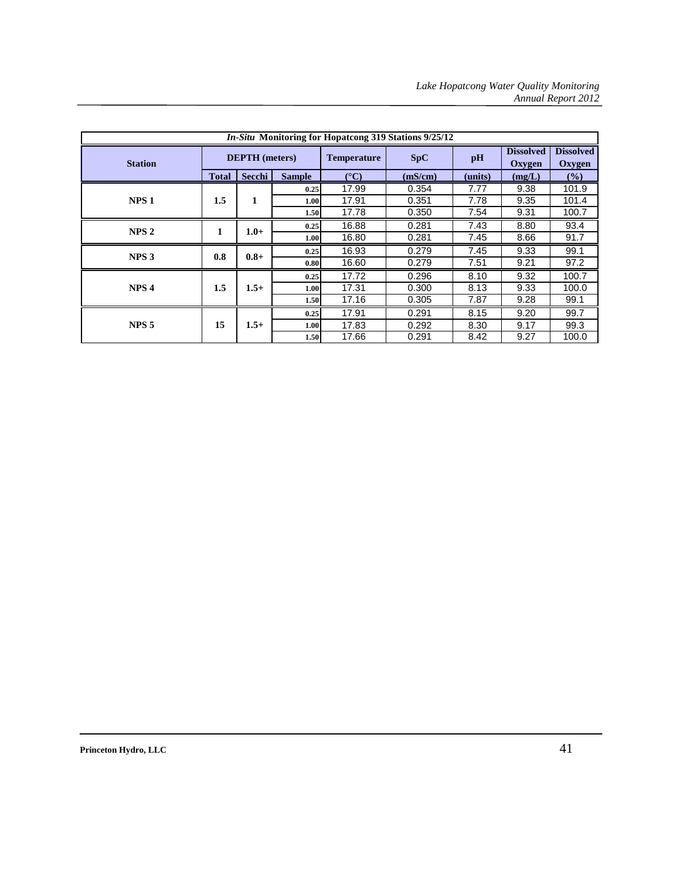| <i>In-Situ</i> Monitoring for Hopatcong 319 Stations 9/25/12 |              |                       |               |                    |         |         |                            |                            |      |
|--------------------------------------------------------------|--------------|-----------------------|---------------|--------------------|---------|---------|----------------------------|----------------------------|------|
| <b>Station</b>                                               |              | <b>DEPTH</b> (meters) |               | <b>Temperature</b> | SpC     | pH      | <b>Dissolved</b><br>Oxygen | <b>Dissolved</b><br>Oxygen |      |
|                                                              | <b>Total</b> | Secchi                | <b>Sample</b> | $({}^{\circ}C)$    | (mS/cm) | (units) | (mg/L)                     | $\frac{6}{2}$              |      |
|                                                              |              |                       | 0.25          | 17.99              | 0.354   | 7.77    | 9.38                       | 101.9                      |      |
| NPS <sub>1</sub>                                             | $1.5\,$      | 1                     | 1.00          | 17.91              | 0.351   | 7.78    | 9.35                       | 101.4                      |      |
|                                                              |              |                       | 1.50          | 17.78              | 0.350   | 7.54    | 9.31                       | 100.7                      |      |
| NPS <sub>2</sub>                                             | 1            |                       | $1.0+$        | 0.25               | 16.88   | 0.281   | 7.43                       | 8.80                       | 93.4 |
|                                                              |              |                       | 1.00          | 16.80              | 0.281   | 7.45    | 8.66                       | 91.7                       |      |
| NPS <sub>3</sub>                                             | 0.8          | $0.8 +$               | 0.25          | 16.93              | 0.279   | 7.45    | 9.33                       | 99.1                       |      |
|                                                              |              |                       | 0.80          | 16.60              | 0.279   | 7.51    | 9.21                       | 97.2                       |      |
|                                                              |              |                       | 0.25          | 17.72              | 0.296   | 8.10    | 9.32                       | 100.7                      |      |
| NPS <sub>4</sub>                                             | $1.5\,$      | $1.5+$                | 1.00          | 17.31              | 0.300   | 8.13    | 9.33                       | 100.0                      |      |
|                                                              |              |                       | 1.50          | 17.16              | 0.305   | 7.87    | 9.28                       | 99.1                       |      |
|                                                              |              | $1.5+$                | 0.25          | 17.91              | 0.291   | 8.15    | 9.20                       | 99.7                       |      |
| NPS <sub>5</sub>                                             | 15           |                       | 1.00          | 17.83              | 0.292   | 8.30    | 9.17                       | 99.3                       |      |
|                                                              |              |                       | 1.50          | 17.66              | 0.291   | 8.42    | 9.27                       | 100.0                      |      |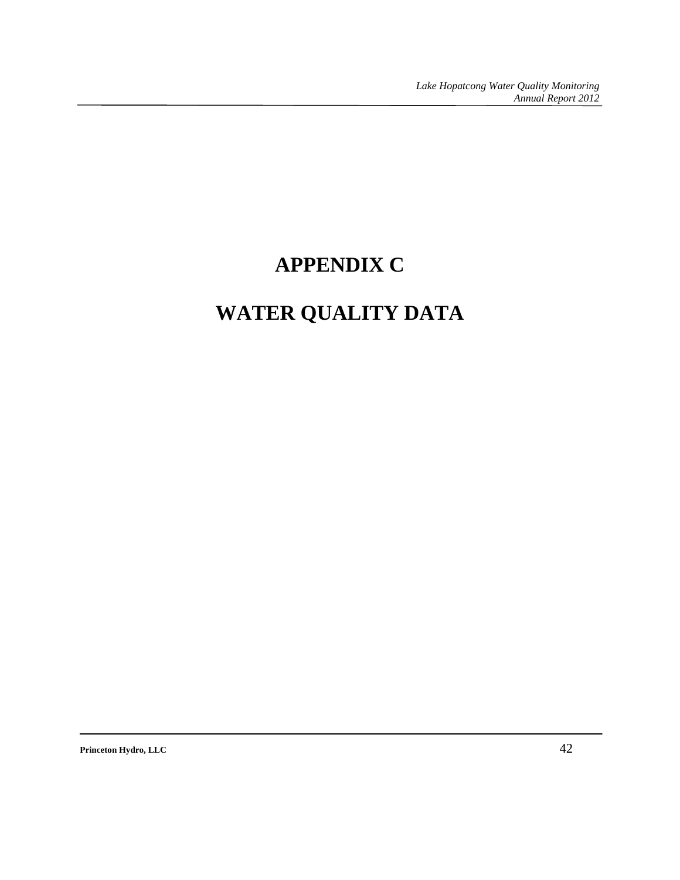## **APPENDIX C**

# **WATER QUALITY DATA**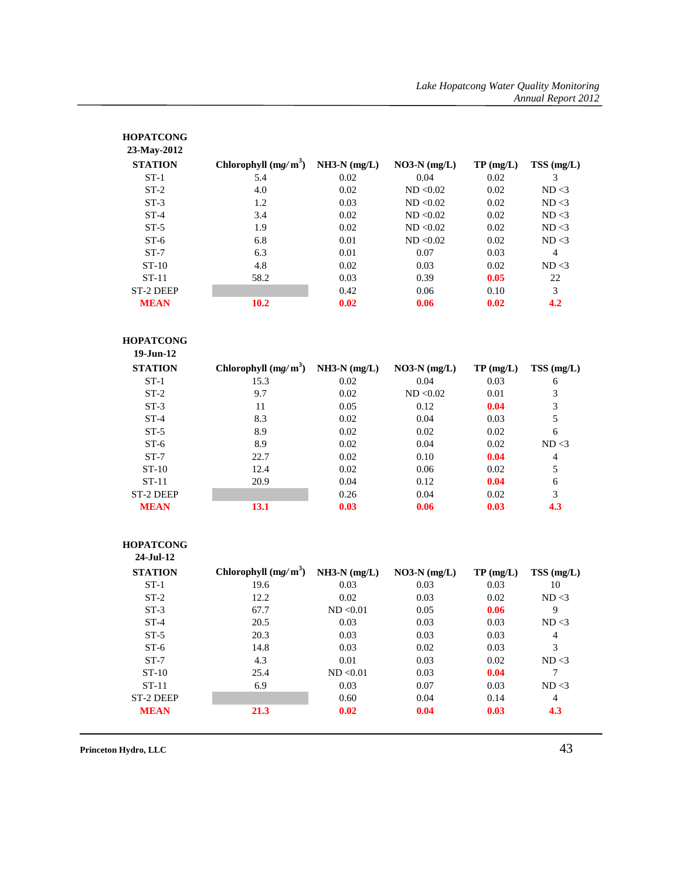| <b>HOPATCONG</b><br>23-May-2012 |                        |                |                |          |                 |
|---------------------------------|------------------------|----------------|----------------|----------|-----------------|
| <b>STATION</b>                  | Chlorophyll $(mg/m^3)$ | $NH3-N (mg/L)$ | $NO3-N$ (mg/L) | TP(mg/L) | $TSS \, (mg/L)$ |
| $ST-1$                          | 5.4                    | 0.02           | 0.04           | 0.02     | 3               |
| $ST-2$                          | 4.0                    | 0.02           | ND < 0.02      | 0.02     | ND < 3          |
| $ST-3$                          | 1.2                    | 0.03           | ND < 0.02      | 0.02     | ND < 3          |
| $ST-4$                          | 3.4                    | 0.02           | ND < 0.02      | 0.02     | ND < 3          |
| $ST-5$                          | 1.9                    | 0.02           | ND < 0.02      | 0.02     | ND < 3          |
| $ST-6$                          | 6.8                    | 0.01           | ND < 0.02      | 0.02     | ND < 3          |
| $ST-7$                          | 6.3                    | 0.01           | 0.07           | 0.03     | 4               |
| $ST-10$                         | 4.8                    | 0.02           | 0.03           | 0.02     | ND < 3          |
| $ST-11$                         | 58.2                   | 0.03           | 0.39           | 0.05     | 22              |
| ST-2 DEEP                       |                        | 0.42           | 0.06           | 0.10     | 3               |
| <b>MEAN</b>                     | 10.2                   | 0.02           | 0.06           | 0.02     | 4.2             |

#### **HOPATCONG**

| $19 - \frac{1}{1}$ un-12 |                        |                |                |          |           |
|--------------------------|------------------------|----------------|----------------|----------|-----------|
| <b>STATION</b>           | Chlorophyll $(mg/m^3)$ | $NH3-N (mg/L)$ | $NO3-N (mg/L)$ | TP(mg/L) | TSS(mg/L) |
| $ST-1$                   | 15.3                   | 0.02           | 0.04           | 0.03     | 6         |
| $ST-2$                   | 9.7                    | 0.02           | ND < 0.02      | 0.01     | 3         |
| $ST-3$                   | 11                     | 0.05           | 0.12           | 0.04     | 3         |
| $ST-4$                   | 8.3                    | 0.02           | 0.04           | 0.03     | 5         |
| $ST-5$                   | 8.9                    | 0.02           | 0.02           | 0.02     | 6         |
| $ST-6$                   | 8.9                    | 0.02           | 0.04           | 0.02     | ND < 3    |
| $ST-7$                   | 22.7                   | 0.02           | 0.10           | 0.04     | 4         |
| $ST-10$                  | 12.4                   | 0.02           | 0.06           | 0.02     | 5         |
| $ST-11$                  | 20.9                   | 0.04           | 0.12           | 0.04     | 6         |
| ST-2 DEEP                |                        | 0.26           | 0.04           | 0.02     | 3         |
| <b>MEAN</b>              | 13.1                   | 0.03           | 0.06           | 0.03     | 4.3       |

#### **HOPATCONG**

| $24 - Iul - 12$ |                        |                |                |          |           |
|-----------------|------------------------|----------------|----------------|----------|-----------|
| <b>STATION</b>  | Chlorophyll $(mg/m^3)$ | $NH3-N (mg/L)$ | $NO3-N (mg/L)$ | TP(mg/L) | TSS(mg/L) |
| $ST-1$          | 19.6                   | 0.03           | 0.03           | 0.03     | 10        |
| $ST-2$          | 12.2                   | 0.02           | 0.03           | 0.02     | ND < 3    |
| $ST-3$          | 67.7                   | ND < 0.01      | 0.05           | 0.06     | 9         |
| $ST-4$          | 20.5                   | 0.03           | 0.03           | 0.03     | ND < 3    |
| $ST-5$          | 20.3                   | 0.03           | 0.03           | 0.03     | 4         |
| $ST-6$          | 14.8                   | 0.03           | 0.02           | 0.03     | 3         |
| $ST-7$          | 4.3                    | 0.01           | 0.03           | 0.02     | ND < 3    |
| $ST-10$         | 25.4                   | ND < 0.01      | 0.03           | 0.04     | 7         |
| $ST-11$         | 6.9                    | 0.03           | 0.07           | 0.03     | ND < 3    |
| ST-2 DEEP       |                        | 0.60           | 0.04           | 0.14     | 4         |
| <b>MEAN</b>     | 21.3                   | 0.02           | 0.04           | 0.03     | 4.3       |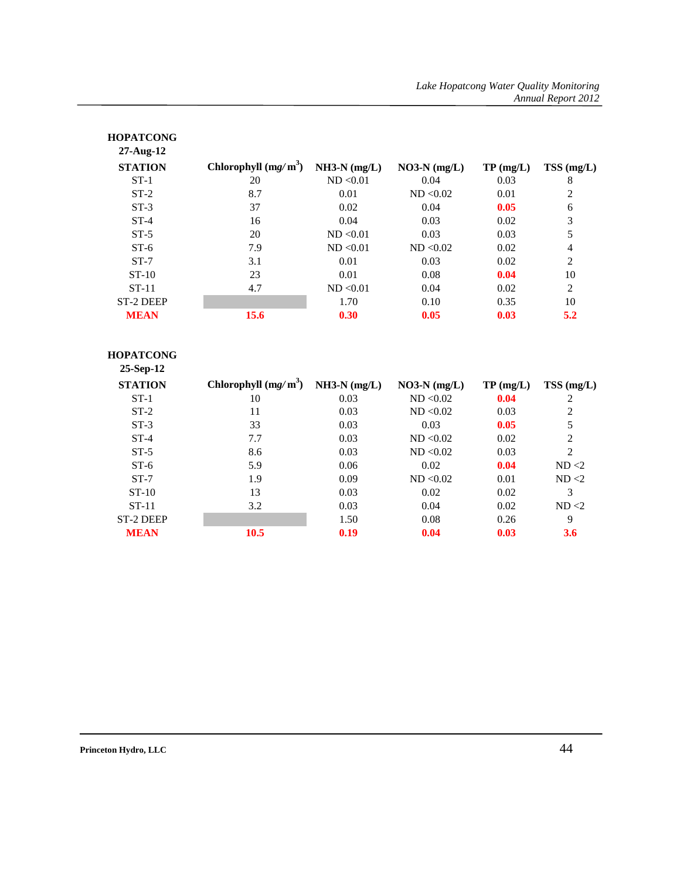| <b>HOPATCONG</b><br>$27$ -Aug-12 |                        |                |                |             |                |
|----------------------------------|------------------------|----------------|----------------|-------------|----------------|
| <b>STATION</b>                   | Chlorophyll $(mg/m^3)$ | $NH3-N (mg/L)$ | $NO3-N (mg/L)$ | $TP$ (mg/L) | $TSS$ (mg/L)   |
| $ST-1$                           | 20                     | ND < 0.01      | 0.04           | 0.03        | 8              |
| $ST-2$                           | 8.7                    | 0.01           | ND < 0.02      | 0.01        | 2              |
| $ST-3$                           | 37                     | 0.02           | 0.04           | 0.05        | 6              |
| $ST-4$                           | 16                     | 0.04           | 0.03           | 0.02        | 3              |
| $ST-5$                           | 20                     | ND < 0.01      | 0.03           | 0.03        | 5              |
| $ST-6$                           | 7.9                    | ND < 0.01      | ND < 0.02      | 0.02        | 4              |
| $ST-7$                           | 3.1                    | 0.01           | 0.03           | 0.02        | $\overline{2}$ |
| $ST-10$                          | 23                     | 0.01           | 0.08           | 0.04        | 10             |
| $ST-11$                          | 4.7                    | ND < 0.01      | 0.04           | 0.02        | $\overline{2}$ |
| <b>ST-2 DEEP</b>                 |                        | 1.70           | 0.10           | 0.35        | 10             |
| <b>MEAN</b>                      | 15.6                   | 0.30           | 0.05           | 0.03        | 5.2            |

| <b>HOPATCONG</b><br>$25-Sep-12$ |                        |                |                |          |                |
|---------------------------------|------------------------|----------------|----------------|----------|----------------|
| <b>STATION</b>                  | Chlorophyll $(mg/m^3)$ | $NH3-N (mg/L)$ | $NO3-N$ (mg/L) | TP(mg/L) | $TSS$ (mg/L)   |
| $ST-1$                          | 10                     | 0.03           | ND < 0.02      | 0.04     | 2              |
| $ST-2$                          | 11                     | 0.03           | ND < 0.02      | 0.03     | $\overline{2}$ |
| $ST-3$                          | 33                     | 0.03           | 0.03           | 0.05     | 5              |
| $ST-4$                          | 7.7                    | 0.03           | ND < 0.02      | 0.02     | 2              |
| $ST-5$                          | 8.6                    | 0.03           | ND < 0.02      | 0.03     | $\overline{c}$ |
| $ST-6$                          | 5.9                    | 0.06           | 0.02           | 0.04     | ND < 2         |
| $ST-7$                          | 1.9                    | 0.09           | ND < 0.02      | 0.01     | ND < 2         |
| $ST-10$                         | 13                     | 0.03           | 0.02           | 0.02     | 3              |
| $ST-11$                         | 3.2                    | 0.03           | 0.04           | 0.02     | ND < 2         |
| <b>ST-2 DEEP</b>                |                        | 1.50           | 0.08           | 0.26     | 9              |
| <b>MEAN</b>                     | 10.5                   | 0.19           | 0.04           | 0.03     | 3.6            |